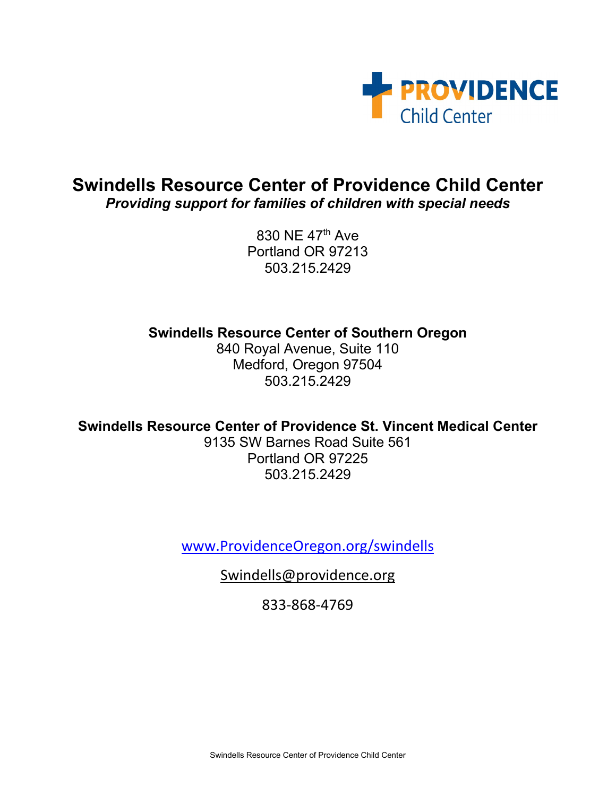

## **Swindells Resource Center of Providence Child Center** *Providing support for families of children with special needs*

830 NE 47th Ave Portland OR 97213 503.215.2429

**Swindells Resource Center of Southern Oregon**

840 Royal Avenue, Suite 110 Medford, Oregon 97504 503.215.2429

**Swindells Resource Center of Providence St. Vincent Medical Center**

9135 SW Barnes Road Suite 561 Portland OR 97225 503.215.2429

[www.ProvidenceOregon.org/swindells](http://www.providenceoregon.org/swindells)

[Swindells@providence.org](mailto:Swindells@providence.org)

833-868-4769

Swindells Resource Center of Providence Child Center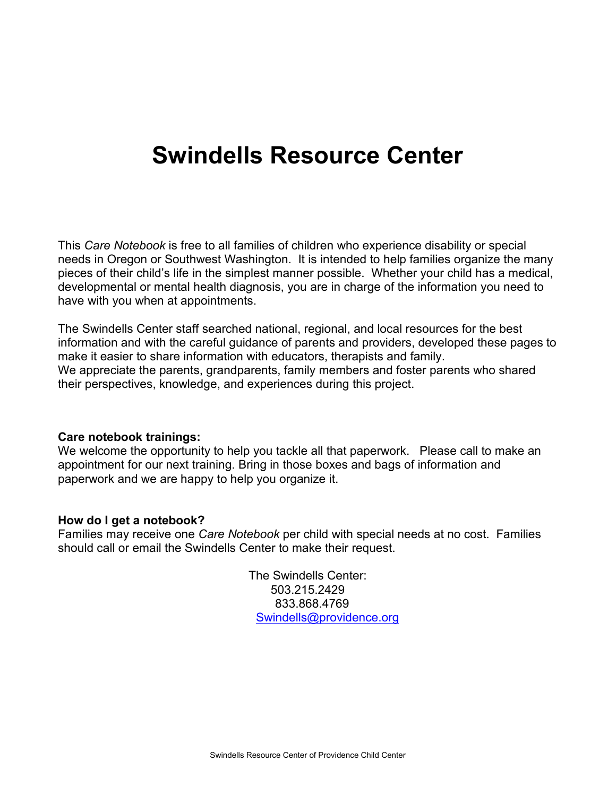# **Swindells Resource Center**

This *Care Notebook* is free to all families of children who experience disability or special needs in Oregon or Southwest Washington. It is intended to help families organize the many pieces of their child's life in the simplest manner possible. Whether your child has a medical, developmental or mental health diagnosis, you are in charge of the information you need to have with you when at appointments.

The Swindells Center staff searched national, regional, and local resources for the best information and with the careful guidance of parents and providers, developed these pages to make it easier to share information with educators, therapists and family. We appreciate the parents, grandparents, family members and foster parents who shared their perspectives, knowledge, and experiences during this project.

#### **Care notebook trainings:**

We welcome the opportunity to help you tackle all that paperwork. Please call to make an appointment for our next training. Bring in those boxes and bags of information and paperwork and we are happy to help you organize it.

## **How do I get a notebook?**

Families may receive one *Care Notebook* per child with special needs at no cost. Families should call or email the Swindells Center to make their request.

> The Swindells Center: 503.215.2429 833.868.4769 [Swindells@providence.org](mailto:Swindells@providence.org)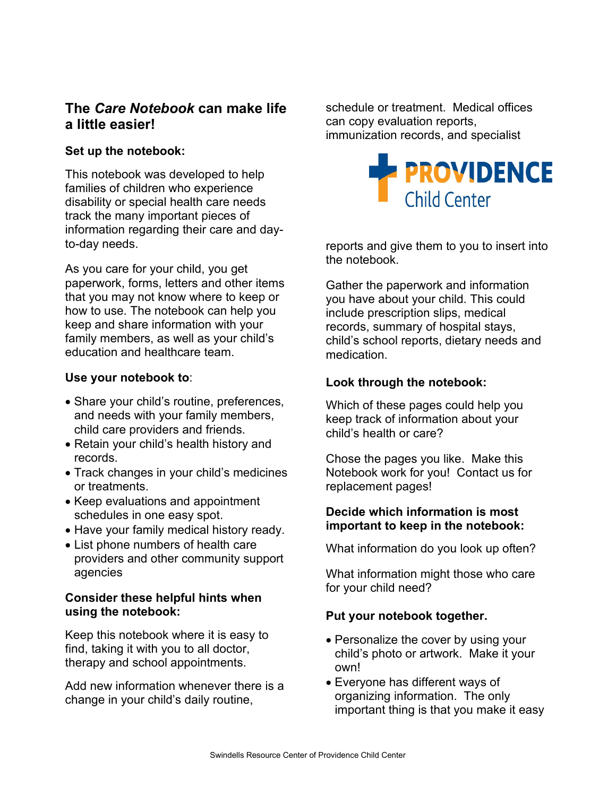## **The** *Care Notebook* **can make life a little easier!**

## **Set up the notebook:**

This notebook was developed to help families of children who experience disability or special health care needs track the many important pieces of information regarding their care and dayto-day needs.

As you care for your child, you get paperwork, forms, letters and other items that you may not know where to keep or how to use. The notebook can help you keep and share information with your family members, as well as your child's education and healthcare team.

## **Use your notebook to**:

- Share your child's routine, preferences, and needs with your family members, child care providers and friends.
- Retain your child's health history and records.
- Track changes in your child's medicines or treatments.
- Keep evaluations and appointment schedules in one easy spot.
- Have your family medical history ready.
- List phone numbers of health care providers and other community support agencies

## **Consider these helpful hints when using the notebook:**

Keep this notebook where it is easy to find, taking it with you to all doctor, therapy and school appointments.

Add new information whenever there is a change in your child's daily routine,

schedule or treatment. Medical offices can copy evaluation reports, immunization records, and specialist



reports and give them to you to insert into the notebook.

Gather the paperwork and information you have about your child. This could include prescription slips, medical records, summary of hospital stays, child's school reports, dietary needs and medication.

## **Look through the notebook:**

Which of these pages could help you keep track of information about your child's health or care?

Chose the pages you like. Make this Notebook work for you! Contact us for replacement pages!

## **Decide which information is most important to keep in the notebook:**

What information do you look up often?

What information might those who care for your child need?

## **Put your notebook together.**

- Personalize the cover by using your child's photo or artwork. Make it your own!
- Everyone has different ways of organizing information. The only important thing is that you make it easy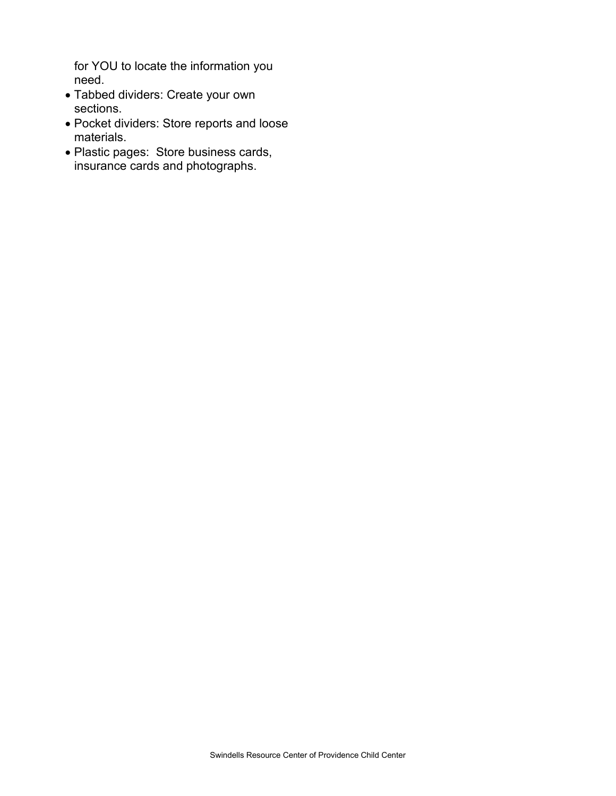for YOU to locate the information you need.

- Tabbed dividers: Create your own sections.
- Pocket dividers: Store reports and loose materials.
- Plastic pages: Store business cards, insurance cards and photographs.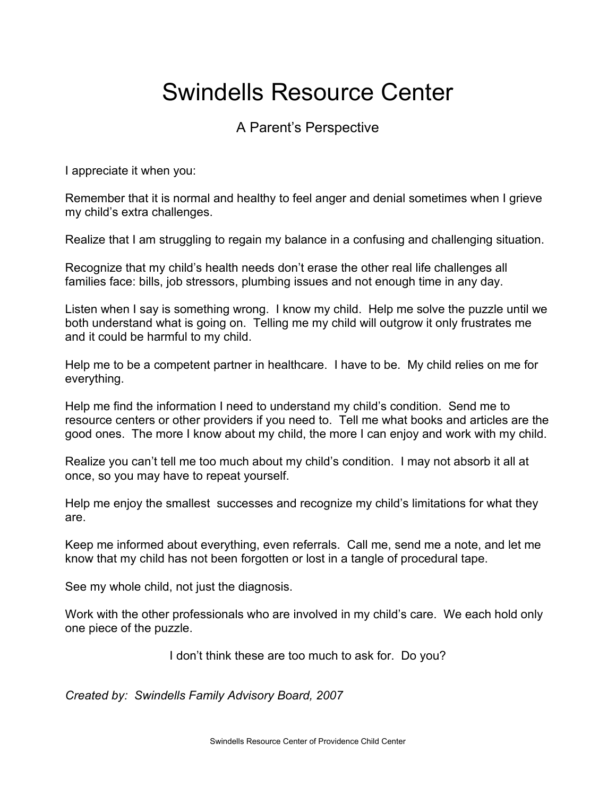# Swindells Resource Center

## A Parent's Perspective

I appreciate it when you:

Remember that it is normal and healthy to feel anger and denial sometimes when I grieve my child's extra challenges.

Realize that I am struggling to regain my balance in a confusing and challenging situation.

Recognize that my child's health needs don't erase the other real life challenges all families face: bills, job stressors, plumbing issues and not enough time in any day.

Listen when I say is something wrong. I know my child. Help me solve the puzzle until we both understand what is going on. Telling me my child will outgrow it only frustrates me and it could be harmful to my child.

Help me to be a competent partner in healthcare. I have to be. My child relies on me for everything.

Help me find the information I need to understand my child's condition. Send me to resource centers or other providers if you need to. Tell me what books and articles are the good ones. The more I know about my child, the more I can enjoy and work with my child.

Realize you can't tell me too much about my child's condition. I may not absorb it all at once, so you may have to repeat yourself.

Help me enjoy the smallest successes and recognize my child's limitations for what they are.

Keep me informed about everything, even referrals. Call me, send me a note, and let me know that my child has not been forgotten or lost in a tangle of procedural tape.

See my whole child, not just the diagnosis.

Work with the other professionals who are involved in my child's care. We each hold only one piece of the puzzle.

I don't think these are too much to ask for. Do you?

*Created by: Swindells Family Advisory Board, 2007*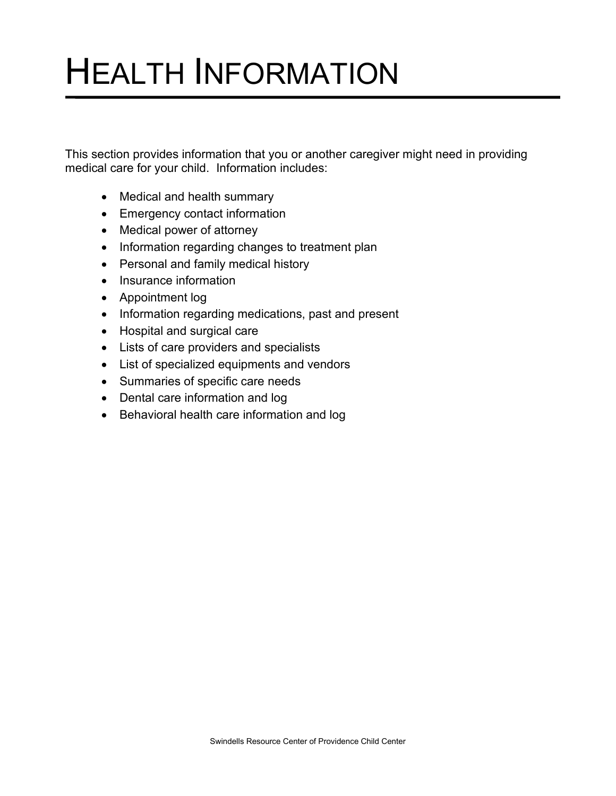# HEALTH INFORMATION

This section provides information that you or another caregiver might need in providing medical care for your child. Information includes:

- Medical and health summary
- Emergency contact information
- Medical power of attorney
- Information regarding changes to treatment plan
- Personal and family medical history
- Insurance information
- Appointment log
- Information regarding medications, past and present
- Hospital and surgical care
- Lists of care providers and specialists
- List of specialized equipments and vendors
- Summaries of specific care needs
- Dental care information and log
- Behavioral health care information and log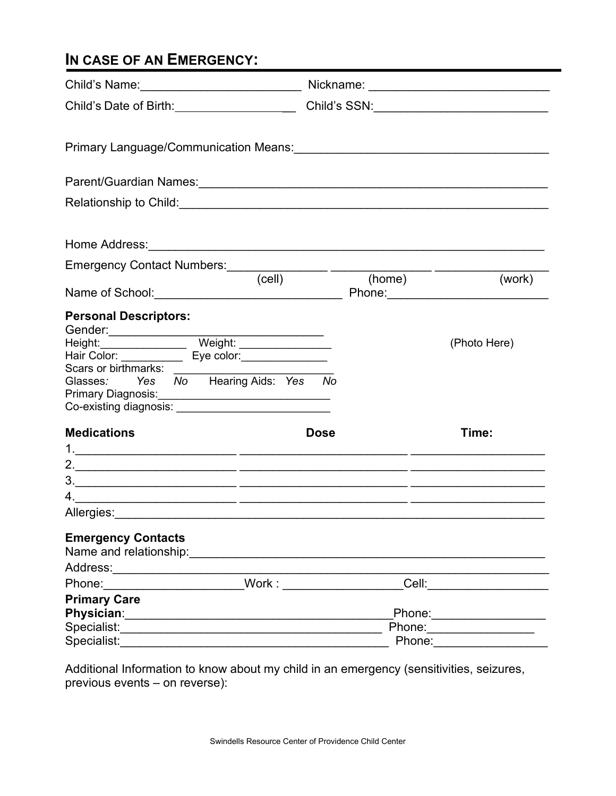# **IN CASE OF AN EMERGENCY:**

| Child's Date of Birth: ______________________                                                                                                                                                                                  |             |        |                                                                                                                                              |
|--------------------------------------------------------------------------------------------------------------------------------------------------------------------------------------------------------------------------------|-------------|--------|----------------------------------------------------------------------------------------------------------------------------------------------|
|                                                                                                                                                                                                                                |             |        |                                                                                                                                              |
|                                                                                                                                                                                                                                |             |        |                                                                                                                                              |
|                                                                                                                                                                                                                                |             |        |                                                                                                                                              |
|                                                                                                                                                                                                                                |             |        |                                                                                                                                              |
|                                                                                                                                                                                                                                |             |        |                                                                                                                                              |
|                                                                                                                                                                                                                                | (cell)      | (home) | (work)                                                                                                                                       |
| <b>Personal Descriptors:</b><br>Scars or birthmarks:<br>Glasses: Yes No Hearing Aids: Yes No<br>Primary Diagnosis: <u>_________________________________</u>                                                                    |             |        | (Photo Here)                                                                                                                                 |
| <b>Medications</b>                                                                                                                                                                                                             | <b>Dose</b> |        | Time:                                                                                                                                        |
| Allergies: Allergies: Allergies: Allergies: Allergies: Allergies: Allergies: Allergies: Allergies: Allergies: Allergies: Allergies: Allergies: Allergies: Allergies: Allergies: Allergies: Allergies: Allergies: Allergies: Al |             |        |                                                                                                                                              |
| <b>Emergency Contacts</b>                                                                                                                                                                                                      |             |        |                                                                                                                                              |
| Address:__________________________<br>Phone: Work:                                                                                                                                                                             |             |        | Cell: 2008 2010 2010 2010 2011 2021 2022 2023 2024 2022 2023 2024 2022 2023 2024 2022 2023 2024 2025 2026 2027                               |
| <b>Primary Care</b>                                                                                                                                                                                                            |             |        |                                                                                                                                              |
| Specialist:                                                                                                                                                                                                                    |             |        | Phone: 2008 2010 2021 2022 2022 2023 2024 2022 2023 2024 2022 2023 2024 2022 2023 2024 2022 2023 2024 2025 20<br>Phone: ____________________ |

Additional Information to know about my child in an emergency (sensitivities, seizures, previous events – on reverse):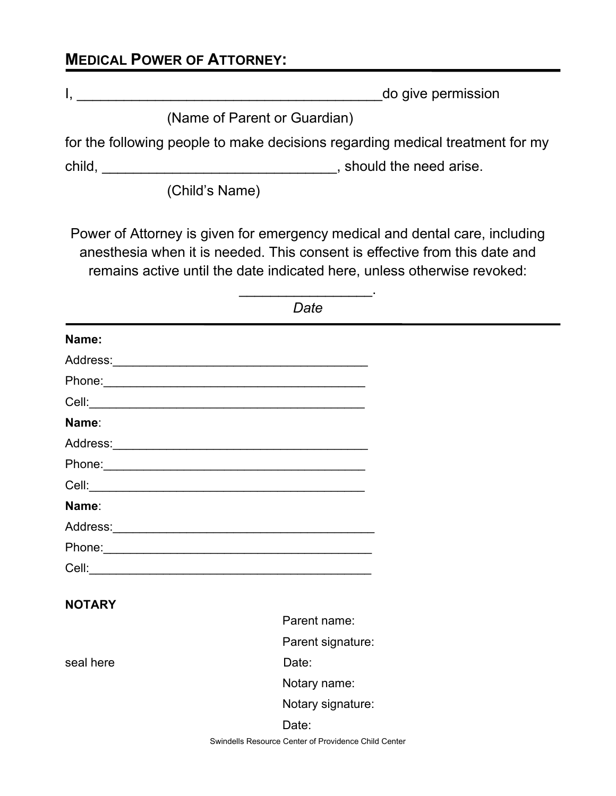## **MEDICAL POWER OF ATTORNEY:**

| do give permission<br>- <b>- -</b> - |
|--------------------------------------|
|                                      |

(Name of Parent or Guardian)

for the following people to make decisions regarding medical treatment for my

child, \_\_\_\_\_\_\_\_\_\_\_\_\_\_\_\_\_\_\_\_\_\_\_\_\_\_\_\_\_\_\_\_\_\_, should the need arise.

(Child's Name)

Power of Attorney is given for emergency medical and dental care, including anesthesia when it is needed. This consent is effective from this date and remains active until the date indicated here, unless otherwise revoked:

\_\_\_\_\_\_\_\_\_\_\_\_\_\_\_\_\_.

| Name:         |                                                                                                                                                                                                                                |
|---------------|--------------------------------------------------------------------------------------------------------------------------------------------------------------------------------------------------------------------------------|
|               |                                                                                                                                                                                                                                |
|               |                                                                                                                                                                                                                                |
|               |                                                                                                                                                                                                                                |
| Name:         |                                                                                                                                                                                                                                |
|               |                                                                                                                                                                                                                                |
|               | Phone: 2008 Phone: 2008 Phone: 2008 Phone: 2008 Phone: 2008 Phone: 2008 Phone: 2008 Phone: 2008 Phone: 2008 Phone: 2008 Phone: 2008 Phone: 2008 Phone: 2008 Phone: 2008 Phone: 2008 Phone: 2008 Phone: 2008 Phone: 2008 Phone: |
|               |                                                                                                                                                                                                                                |
| Name:         |                                                                                                                                                                                                                                |
|               |                                                                                                                                                                                                                                |
|               |                                                                                                                                                                                                                                |
|               |                                                                                                                                                                                                                                |
|               |                                                                                                                                                                                                                                |
| <b>NOTARY</b> | Parent name:                                                                                                                                                                                                                   |
|               |                                                                                                                                                                                                                                |
|               | Parent signature:                                                                                                                                                                                                              |
| seal here     | Date:                                                                                                                                                                                                                          |
|               | Notary name:                                                                                                                                                                                                                   |
|               | Notary signature:                                                                                                                                                                                                              |
|               | Date:                                                                                                                                                                                                                          |
|               | Swindells Resource Center of Providence Child Center                                                                                                                                                                           |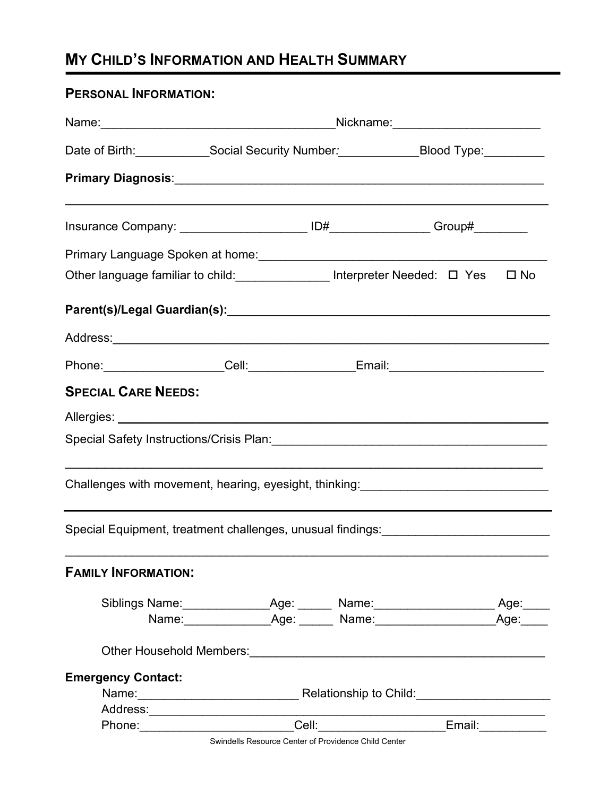# **MY CHILD'S INFORMATION AND HEALTH SUMMARY**

## **PERSONAL INFORMATION:**

|                                                                                                                          | Nickname: __________________________                                                                                                                                                                                           |  |  |  |  |  |  |
|--------------------------------------------------------------------------------------------------------------------------|--------------------------------------------------------------------------------------------------------------------------------------------------------------------------------------------------------------------------------|--|--|--|--|--|--|
|                                                                                                                          | Date of Birth: Social Security Number: Blood Type: Community of Birth:                                                                                                                                                         |  |  |  |  |  |  |
|                                                                                                                          |                                                                                                                                                                                                                                |  |  |  |  |  |  |
|                                                                                                                          |                                                                                                                                                                                                                                |  |  |  |  |  |  |
|                                                                                                                          |                                                                                                                                                                                                                                |  |  |  |  |  |  |
| Other language familiar to child: ______________ Interpreter Needed: □ Yes □ No                                          |                                                                                                                                                                                                                                |  |  |  |  |  |  |
|                                                                                                                          |                                                                                                                                                                                                                                |  |  |  |  |  |  |
|                                                                                                                          |                                                                                                                                                                                                                                |  |  |  |  |  |  |
|                                                                                                                          |                                                                                                                                                                                                                                |  |  |  |  |  |  |
| <b>SPECIAL CARE NEEDS:</b>                                                                                               |                                                                                                                                                                                                                                |  |  |  |  |  |  |
|                                                                                                                          |                                                                                                                                                                                                                                |  |  |  |  |  |  |
|                                                                                                                          |                                                                                                                                                                                                                                |  |  |  |  |  |  |
| Challenges with movement, hearing, eyesight, thinking: _________________________                                         |                                                                                                                                                                                                                                |  |  |  |  |  |  |
| Special Equipment, treatment challenges, unusual findings:<br>Special Equipment, treatment challenges, unusual findings: |                                                                                                                                                                                                                                |  |  |  |  |  |  |
| <b>FAMILY INFORMATION:</b>                                                                                               |                                                                                                                                                                                                                                |  |  |  |  |  |  |
|                                                                                                                          | Siblings Name: ____________________Age: ________ Name: __________________________ Age: _____                                                                                                                                   |  |  |  |  |  |  |
|                                                                                                                          | Name: Age: Mame: Mame: Age: Mame: Age: Mame: Age: Mame: Age: Mame: Age: Mame: Age: Mame: Age: Mame: Age: Mame: Age: Mame: Age: Mame: Age: Mame: Age: Mame: Age: Mame: Age: Mame: Age: Mame: Age: Mame: Age: Mame: Age: Mame: A |  |  |  |  |  |  |
|                                                                                                                          |                                                                                                                                                                                                                                |  |  |  |  |  |  |
| <b>Emergency Contact:</b>                                                                                                |                                                                                                                                                                                                                                |  |  |  |  |  |  |
|                                                                                                                          |                                                                                                                                                                                                                                |  |  |  |  |  |  |
|                                                                                                                          |                                                                                                                                                                                                                                |  |  |  |  |  |  |
|                                                                                                                          |                                                                                                                                                                                                                                |  |  |  |  |  |  |

Swindells Resource Center of Providence Child Center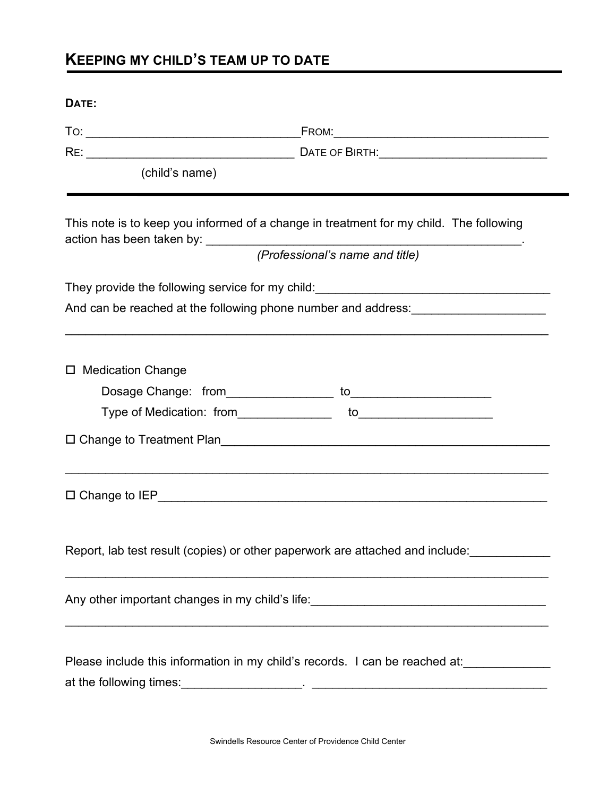# **KEEPING MY CHILD'S TEAM UP TO DATE**

## **DATE:**

|                     | (child's name) |                                                                                                                                                                  |  |
|---------------------|----------------|------------------------------------------------------------------------------------------------------------------------------------------------------------------|--|
|                     |                | This note is to keep you informed of a change in treatment for my child. The following<br>(Professional's name and title)                                        |  |
|                     |                |                                                                                                                                                                  |  |
|                     |                | And can be reached at the following phone number and address: ___________________                                                                                |  |
|                     |                |                                                                                                                                                                  |  |
| □ Medication Change |                |                                                                                                                                                                  |  |
|                     |                |                                                                                                                                                                  |  |
|                     |                |                                                                                                                                                                  |  |
|                     |                |                                                                                                                                                                  |  |
|                     |                |                                                                                                                                                                  |  |
|                     |                | Report, lab test result (copies) or other paperwork are attached and include:                                                                                    |  |
|                     |                | Any other important changes in my child's life:<br>and interact in the contract of the contract of the contract of the child of the child of the contract of the |  |
|                     |                | Please include this information in my child's records. I can be reached at:____________                                                                          |  |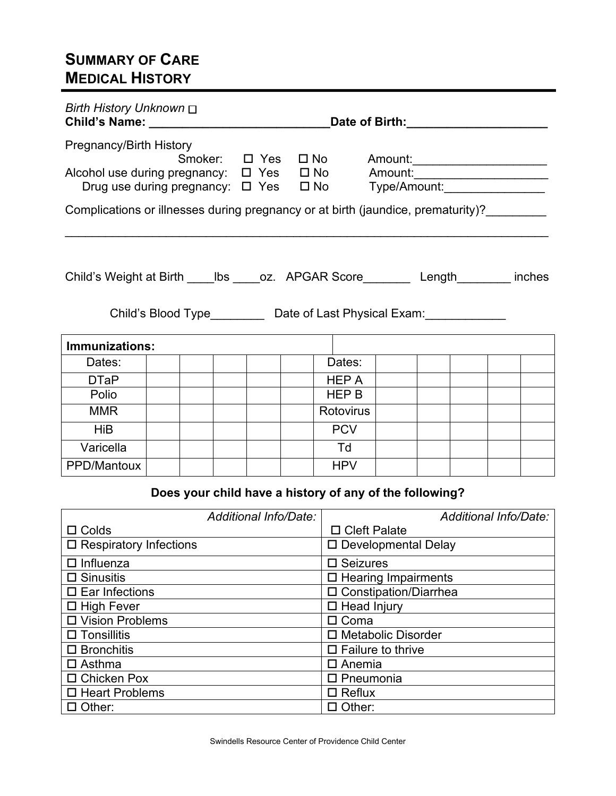## **SUMMARY OF CARE MEDICAL HISTORY**

| <b>Birth History Unknown</b> □ |                                                                                                                                                                    | Date of Birth: ___________ |  |                  |  |  |                                      |
|--------------------------------|--------------------------------------------------------------------------------------------------------------------------------------------------------------------|----------------------------|--|------------------|--|--|--------------------------------------|
| Pregnancy/Birth History        | Alcohol use during pregnancy: $\Box$ Yes $\Box$ No Amount:<br>Drug use during pregnancy: $\Box$ Yes $\Box$ No Type/Amount:                                         |                            |  |                  |  |  | Smoker: $\Box$ Yes $\Box$ No Amount: |
|                                | Complications or illnesses during pregnancy or at birth (jaundice, prematurity)?                                                                                   |                            |  |                  |  |  |                                      |
|                                | Child's Weight at Birth _____lbs _____oz. APGAR Score_________ Length_________ inches<br>Child's Blood Type____________ Date of Last Physical Exam:_______________ |                            |  |                  |  |  |                                      |
| Immunizations:                 |                                                                                                                                                                    |                            |  |                  |  |  |                                      |
| Dates:                         |                                                                                                                                                                    |                            |  | Dates:           |  |  |                                      |
| <b>DTaP</b>                    |                                                                                                                                                                    |                            |  | HEP A            |  |  |                                      |
| Polio                          |                                                                                                                                                                    |                            |  | HEP B            |  |  |                                      |
| <b>MMR</b>                     |                                                                                                                                                                    |                            |  | <b>Rotovirus</b> |  |  |                                      |
| <b>HiB</b>                     |                                                                                                                                                                    |                            |  | <b>PCV</b>       |  |  |                                      |
| Varicella                      |                                                                                                                                                                    |                            |  | Td               |  |  |                                      |
| PPD/Mantoux                    |                                                                                                                                                                    |                            |  | <b>HPV</b>       |  |  |                                      |

## **Does your child have a history of any of the following?**

| Additional Info/Date:            | Additional Info/Date:       |
|----------------------------------|-----------------------------|
| $\square$ Colds                  | $\Box$ Cleft Palate         |
| $\square$ Respiratory Infections | □ Developmental Delay       |
| $\Box$ Influenza                 | $\square$ Seizures          |
| $\square$ Sinusitis              | $\Box$ Hearing Impairments  |
| $\square$ Ear Infections         | □ Constipation/Diarrhea     |
| $\Box$ High Fever                | $\Box$ Head Injury          |
| □ Vision Problems                | $\Box$ Coma                 |
| $\square$ Tonsillitis            | □ Metabolic Disorder        |
| $\Box$ Bronchitis                | $\square$ Failure to thrive |
| $\Box$ Asthma                    | $\Box$ Anemia               |
| $\Box$ Chicken Pox               | $\square$ Pneumonia         |
| □ Heart Problems                 | $\Box$ Reflux               |
| Other:                           | Other:                      |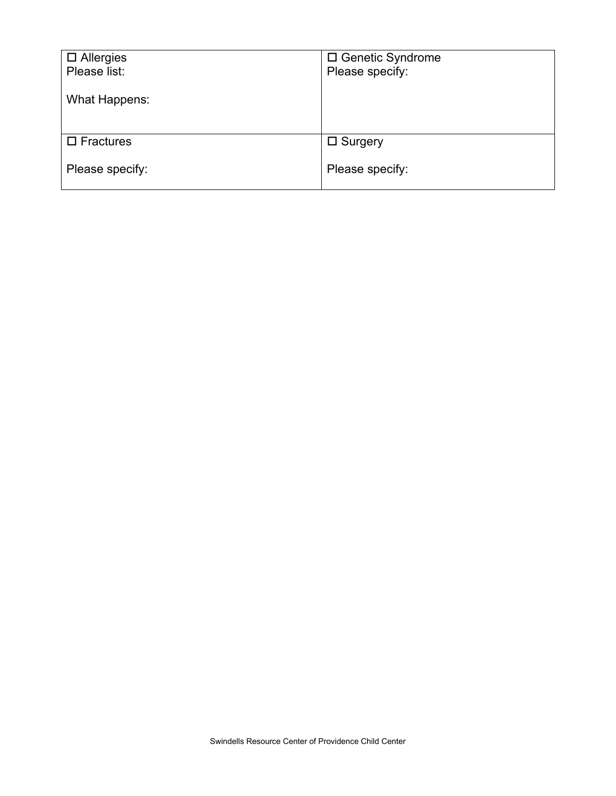| $\Box$ Allergies    | □ Genetic Syndrome |
|---------------------|--------------------|
| Please list:        | Please specify:    |
|                     |                    |
| What Happens:       |                    |
|                     |                    |
|                     |                    |
| $\square$ Fractures | $\square$ Surgery  |
|                     |                    |
| Please specify:     | Please specify:    |
|                     |                    |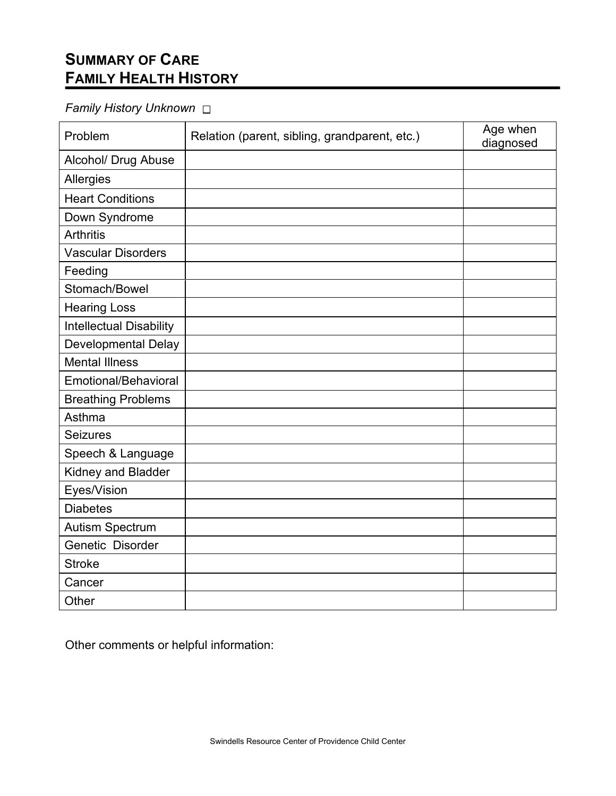# **SUMMARY OF CARE FAMILY HEALTH HISTORY**

## *Family History Unknown*

| Problem                        | Relation (parent, sibling, grandparent, etc.) | Age when<br>diagnosed |
|--------------------------------|-----------------------------------------------|-----------------------|
| Alcohol/ Drug Abuse            |                                               |                       |
| Allergies                      |                                               |                       |
| <b>Heart Conditions</b>        |                                               |                       |
| Down Syndrome                  |                                               |                       |
| <b>Arthritis</b>               |                                               |                       |
| <b>Vascular Disorders</b>      |                                               |                       |
| Feeding                        |                                               |                       |
| Stomach/Bowel                  |                                               |                       |
| <b>Hearing Loss</b>            |                                               |                       |
| <b>Intellectual Disability</b> |                                               |                       |
| <b>Developmental Delay</b>     |                                               |                       |
| <b>Mental Illness</b>          |                                               |                       |
| Emotional/Behavioral           |                                               |                       |
| <b>Breathing Problems</b>      |                                               |                       |
| Asthma                         |                                               |                       |
| Seizures                       |                                               |                       |
| Speech & Language              |                                               |                       |
| Kidney and Bladder             |                                               |                       |
| Eyes/Vision                    |                                               |                       |
| <b>Diabetes</b>                |                                               |                       |
| <b>Autism Spectrum</b>         |                                               |                       |
| Genetic Disorder               |                                               |                       |
| <b>Stroke</b>                  |                                               |                       |
| Cancer                         |                                               |                       |
| Other                          |                                               |                       |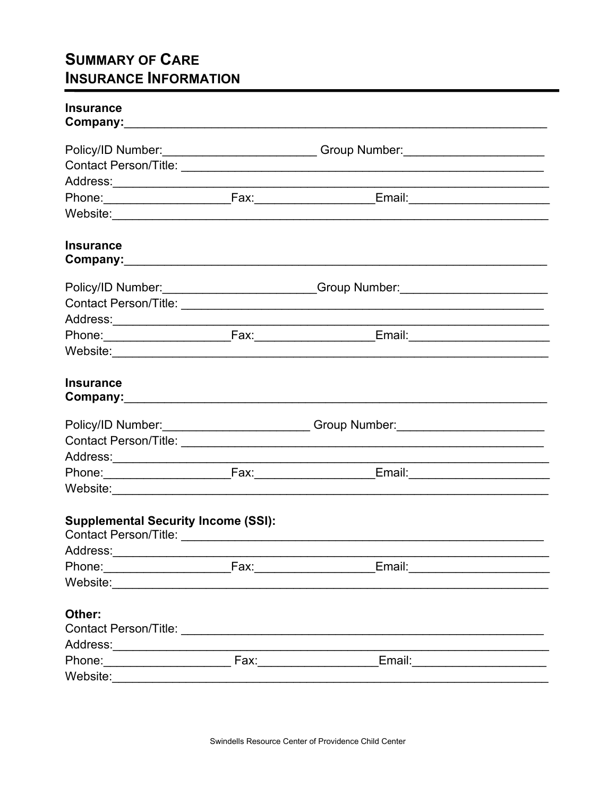## **SUMMARY OF CARE INSURANCE INFORMATION**

| <b>Insurance</b>                           |                                                                                  |  |
|--------------------------------------------|----------------------------------------------------------------------------------|--|
|                                            | Policy/ID Number: _____________________________Group Number: ___________________ |  |
|                                            |                                                                                  |  |
|                                            |                                                                                  |  |
|                                            |                                                                                  |  |
|                                            |                                                                                  |  |
| <b>Insurance</b>                           |                                                                                  |  |
|                                            | Policy/ID Number: _________________________Group Number: _______________________ |  |
|                                            |                                                                                  |  |
|                                            |                                                                                  |  |
|                                            |                                                                                  |  |
|                                            |                                                                                  |  |
| <b>Insurance</b>                           |                                                                                  |  |
|                                            | Policy/ID Number: __________________________Group Number: ______________________ |  |
|                                            |                                                                                  |  |
|                                            |                                                                                  |  |
|                                            |                                                                                  |  |
|                                            |                                                                                  |  |
| <b>Supplemental Security Income (SSI):</b> |                                                                                  |  |
| Address:______________________             |                                                                                  |  |
| Phone: Fax: Fax:                           |                                                                                  |  |
|                                            |                                                                                  |  |
| Other:                                     |                                                                                  |  |
|                                            |                                                                                  |  |
|                                            |                                                                                  |  |
| Website:                                   |                                                                                  |  |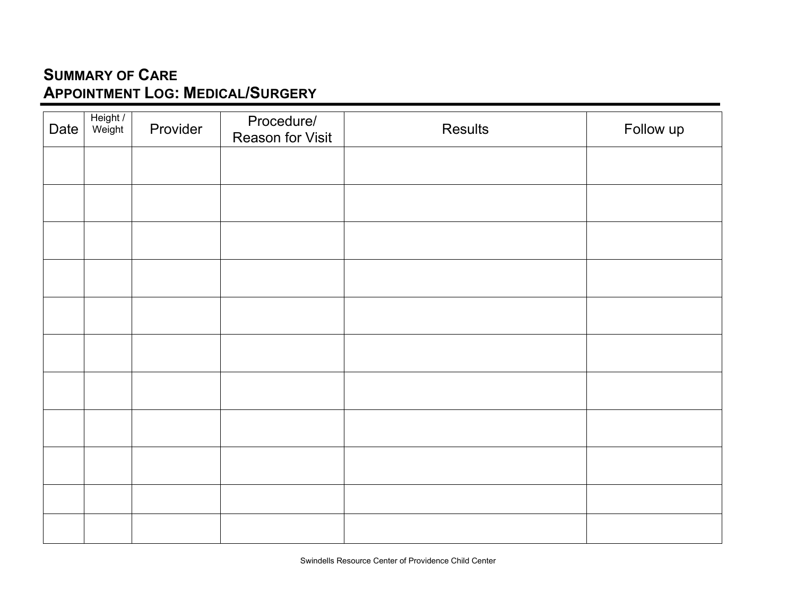# **SUMMARY OF CARE APPOINTMENT LOG: MEDICAL/SURGERY**

| Date | Height /<br>Weight | Provider | Procedure/<br><b>Reason for Visit</b> | Results | Follow up |
|------|--------------------|----------|---------------------------------------|---------|-----------|
|      |                    |          |                                       |         |           |
|      |                    |          |                                       |         |           |
|      |                    |          |                                       |         |           |
|      |                    |          |                                       |         |           |
|      |                    |          |                                       |         |           |
|      |                    |          |                                       |         |           |
|      |                    |          |                                       |         |           |
|      |                    |          |                                       |         |           |
|      |                    |          |                                       |         |           |
|      |                    |          |                                       |         |           |
|      |                    |          |                                       |         |           |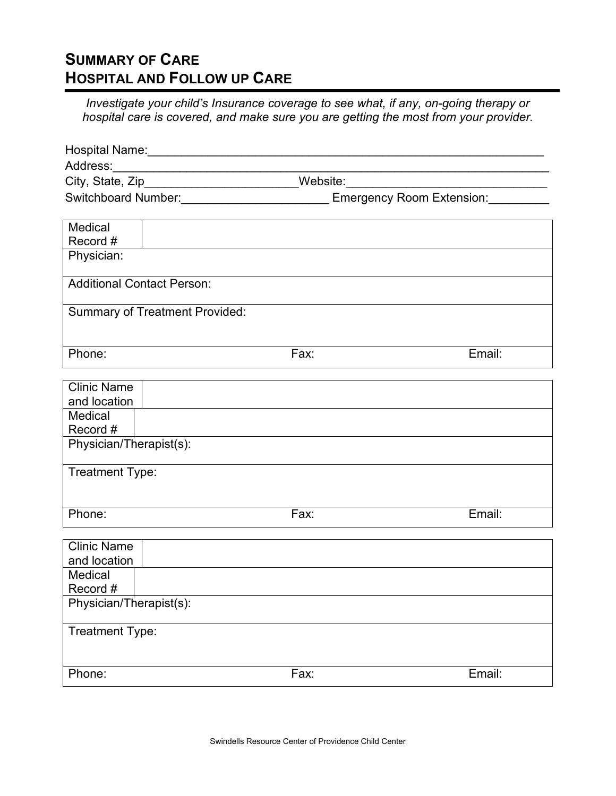## **SUMMARY OF CARE HOSPITAL AND FOLLOW UP CARE**

*Investigate your child's Insurance coverage to see what, if any, on-going therapy or hospital care is covered, and make sure you are getting the most from your provider.*

| Address:                           |                                       |      |                                                                                         |
|------------------------------------|---------------------------------------|------|-----------------------------------------------------------------------------------------|
|                                    |                                       |      | City, State, Zip________________________Website:________________________________        |
|                                    |                                       |      | Switchboard Number: _______________________________ Emergency Room Extension: _________ |
|                                    |                                       |      |                                                                                         |
| Medical<br>Record #                |                                       |      |                                                                                         |
| Physician:                         |                                       |      |                                                                                         |
|                                    |                                       |      |                                                                                         |
|                                    | <b>Additional Contact Person:</b>     |      |                                                                                         |
|                                    | <b>Summary of Treatment Provided:</b> |      |                                                                                         |
|                                    |                                       |      |                                                                                         |
|                                    |                                       |      |                                                                                         |
| Phone:                             |                                       | Fax: | Email:                                                                                  |
|                                    |                                       |      |                                                                                         |
| <b>Clinic Name</b><br>and location |                                       |      |                                                                                         |
| Medical                            |                                       |      |                                                                                         |
| Record #                           |                                       |      |                                                                                         |
| Physician/Therapist(s):            |                                       |      |                                                                                         |
|                                    |                                       |      |                                                                                         |
| Treatment Type:                    |                                       |      |                                                                                         |
|                                    |                                       |      |                                                                                         |
| Phone:                             |                                       | Fax: | Email:                                                                                  |
|                                    |                                       |      |                                                                                         |
| <b>Clinic Name</b>                 |                                       |      |                                                                                         |
| and location                       |                                       |      |                                                                                         |
| Medical                            |                                       |      |                                                                                         |
| Record #                           |                                       |      |                                                                                         |
| Physician/Therapist(s):            |                                       |      |                                                                                         |
| Treatment Type:                    |                                       |      |                                                                                         |
|                                    |                                       |      |                                                                                         |
|                                    |                                       |      |                                                                                         |
| Phone:                             |                                       | Fax: | Email:                                                                                  |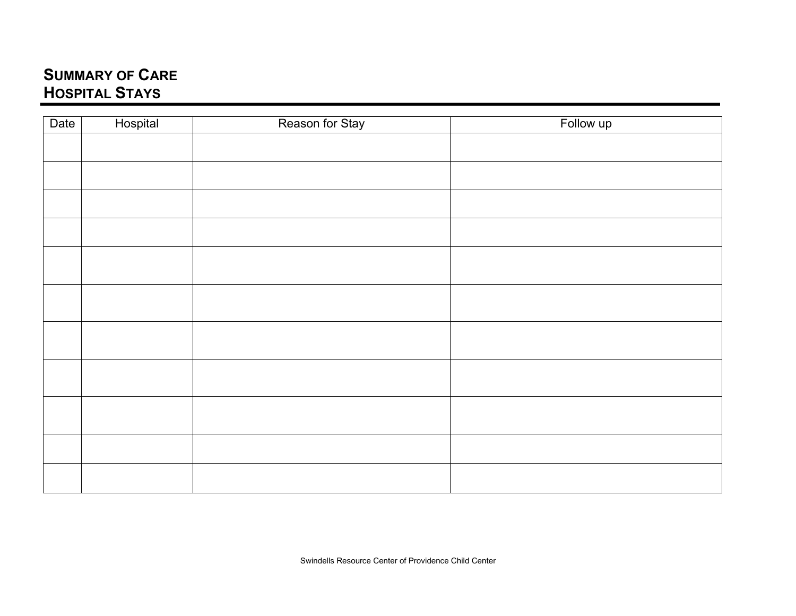## **SUMMARY OF CARE HOSPITAL STAYS**

| Date | Hospital | Reason for Stay | Follow up |
|------|----------|-----------------|-----------|
|      |          |                 |           |
|      |          |                 |           |
|      |          |                 |           |
|      |          |                 |           |
|      |          |                 |           |
|      |          |                 |           |
|      |          |                 |           |
|      |          |                 |           |
|      |          |                 |           |
|      |          |                 |           |
|      |          |                 |           |
|      |          |                 |           |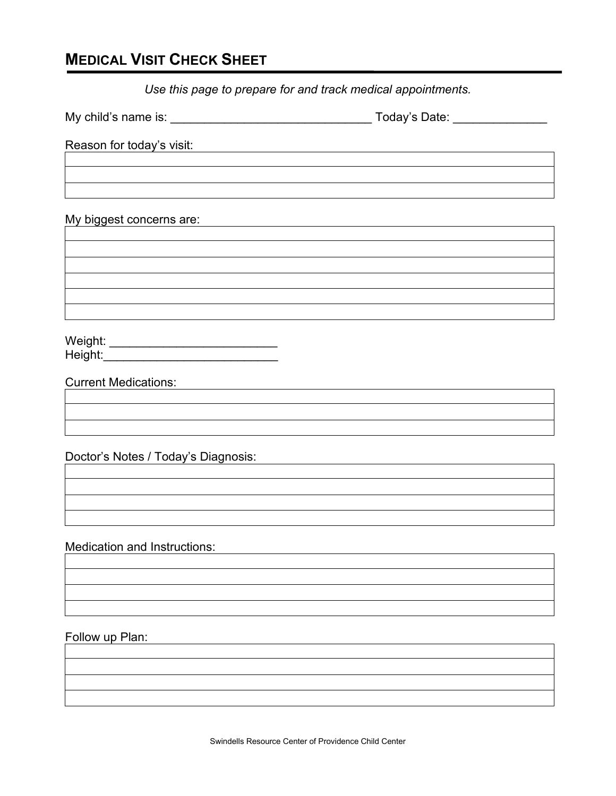## **MEDICAL VISIT CHECK SHEET**

*Use this page to prepare for and track medical appointments.*

My child's name is: \_\_\_\_\_\_\_\_\_\_\_\_\_\_\_\_\_\_\_\_\_\_\_\_\_\_\_\_\_\_ Today's Date: \_\_\_\_\_\_\_\_\_\_\_\_\_\_

Reason for today's visit:

My biggest concerns are:

Weight: \_\_\_\_\_\_\_\_\_\_\_\_\_\_\_\_\_\_\_\_\_\_\_\_\_ Height:\_\_\_\_\_\_\_\_\_\_\_\_\_\_\_\_\_\_\_\_\_\_\_\_\_\_

Current Medications:

Doctor's Notes / Today's Diagnosis:

Medication and Instructions:

Follow up Plan: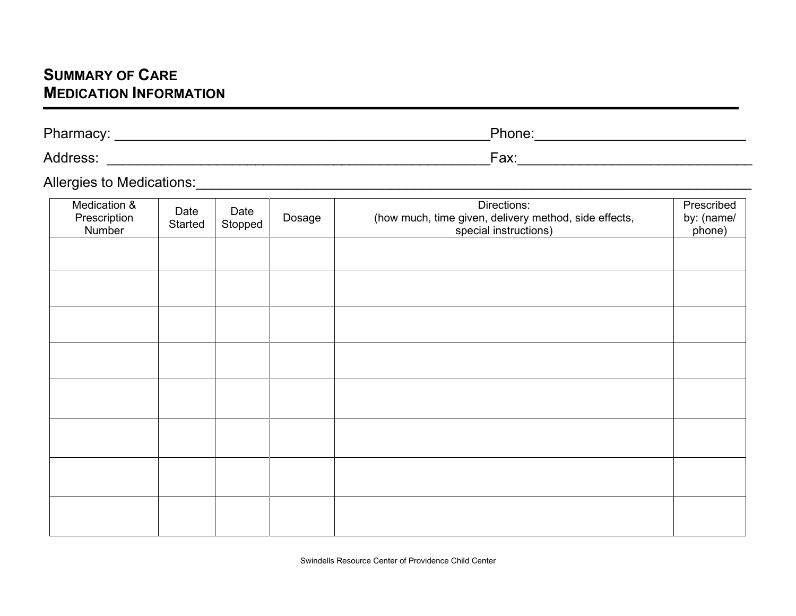## **SUMMARY OF CARE MEDICATION INFORMATION**

| Pharmacy:<br>шасу | Phone:           |
|-------------------|------------------|
| Address:          | $\mathsf{Fax}$ : |

Allergies to Medications:\_\_\_\_\_\_\_\_\_\_\_\_\_\_\_\_\_\_\_\_\_\_\_\_\_\_\_\_\_\_\_\_\_\_\_\_\_\_\_\_\_\_\_\_\_\_\_\_\_\_\_\_\_\_\_\_\_\_\_\_\_\_\_\_\_\_\_\_\_\_\_

| Medication &<br>Prescription<br>Number | Date<br>Started | Date<br>Stopped | Dosage | Directions:<br>(how much, time given, delivery method, side effects,<br>special instructions) | Prescribed<br>by: (name/<br>phone) |
|----------------------------------------|-----------------|-----------------|--------|-----------------------------------------------------------------------------------------------|------------------------------------|
|                                        |                 |                 |        |                                                                                               |                                    |
|                                        |                 |                 |        |                                                                                               |                                    |
|                                        |                 |                 |        |                                                                                               |                                    |
|                                        |                 |                 |        |                                                                                               |                                    |
|                                        |                 |                 |        |                                                                                               |                                    |
|                                        |                 |                 |        |                                                                                               |                                    |
|                                        |                 |                 |        |                                                                                               |                                    |
|                                        |                 |                 |        |                                                                                               |                                    |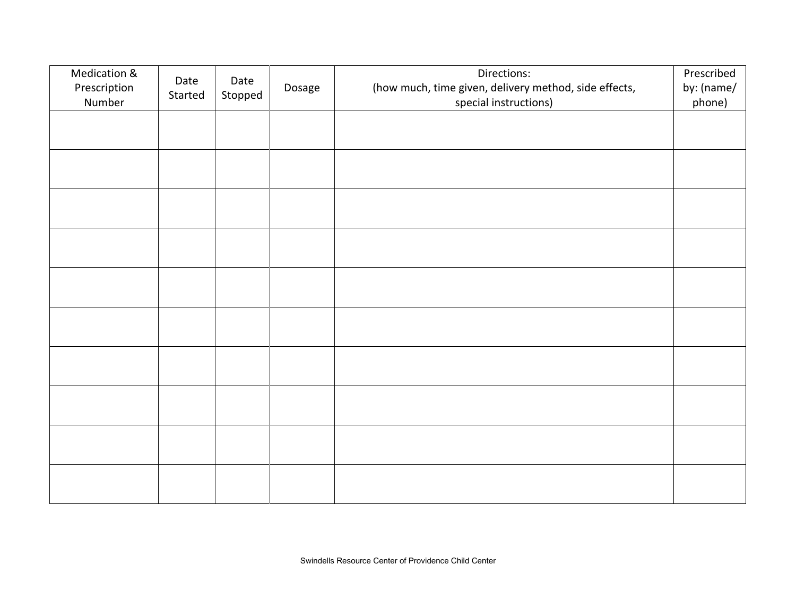| Medication &<br>Prescription<br>Number | Date<br>Started | Date<br>Stopped | Dosage | Directions:<br>(how much, time given, delivery method, side effects,<br>special instructions) | Prescribed<br>by: (name/<br>phone) |
|----------------------------------------|-----------------|-----------------|--------|-----------------------------------------------------------------------------------------------|------------------------------------|
|                                        |                 |                 |        |                                                                                               |                                    |
|                                        |                 |                 |        |                                                                                               |                                    |
|                                        |                 |                 |        |                                                                                               |                                    |
|                                        |                 |                 |        |                                                                                               |                                    |
|                                        |                 |                 |        |                                                                                               |                                    |
|                                        |                 |                 |        |                                                                                               |                                    |
|                                        |                 |                 |        |                                                                                               |                                    |
|                                        |                 |                 |        |                                                                                               |                                    |
|                                        |                 |                 |        |                                                                                               |                                    |
|                                        |                 |                 |        |                                                                                               |                                    |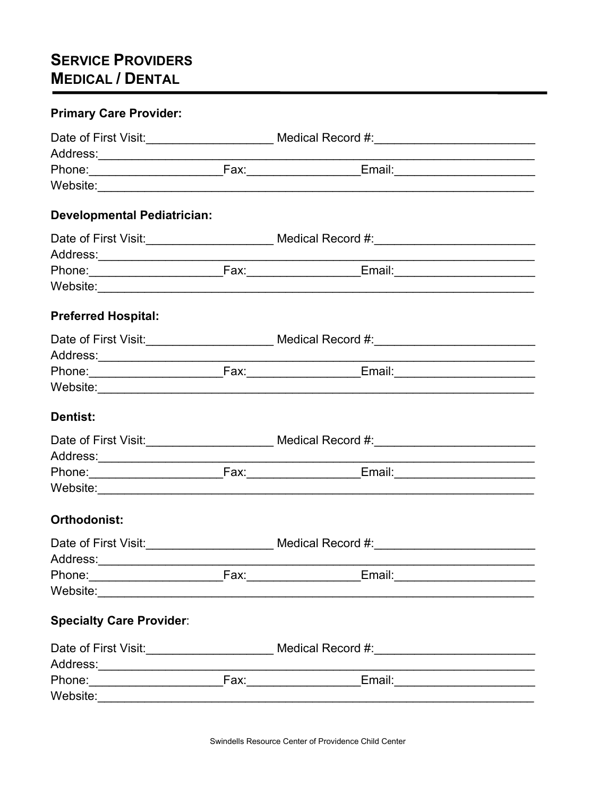# **SERVICE PROVIDERS MEDICAL / DENTAL**

| <b>Primary Care Provider:</b>      |                                                                                                                                                                       |  |  |  |
|------------------------------------|-----------------------------------------------------------------------------------------------------------------------------------------------------------------------|--|--|--|
|                                    | Date of First Visit:______________________ Medical Record #:_____________________<br>Date of First Visit: _____________________ Medical Record #:____________________ |  |  |  |
|                                    |                                                                                                                                                                       |  |  |  |
|                                    |                                                                                                                                                                       |  |  |  |
| <b>Developmental Pediatrician:</b> |                                                                                                                                                                       |  |  |  |
|                                    |                                                                                                                                                                       |  |  |  |
|                                    |                                                                                                                                                                       |  |  |  |
|                                    |                                                                                                                                                                       |  |  |  |
| <b>Preferred Hospital:</b>         |                                                                                                                                                                       |  |  |  |
|                                    | Date of First Visit:_______________________ Medical Record #:____________________                                                                                     |  |  |  |
| Address:_____________________      |                                                                                                                                                                       |  |  |  |
|                                    |                                                                                                                                                                       |  |  |  |
|                                    |                                                                                                                                                                       |  |  |  |
| <b>Dentist:</b>                    |                                                                                                                                                                       |  |  |  |
|                                    | Date of First Visit:_______________________ Medical Record #:___________________                                                                                      |  |  |  |
|                                    |                                                                                                                                                                       |  |  |  |
|                                    |                                                                                                                                                                       |  |  |  |
|                                    |                                                                                                                                                                       |  |  |  |
| Orthodonist:                       |                                                                                                                                                                       |  |  |  |
| Date of First Visit:               |                                                                                                                                                                       |  |  |  |
| Address:_______________________    |                                                                                                                                                                       |  |  |  |
|                                    |                                                                                                                                                                       |  |  |  |
|                                    |                                                                                                                                                                       |  |  |  |
| <b>Specialty Care Provider:</b>    |                                                                                                                                                                       |  |  |  |
|                                    | Date of First Visit:______________________ Medical Record #:_____________________                                                                                     |  |  |  |
| Address:_____________________      |                                                                                                                                                                       |  |  |  |
|                                    |                                                                                                                                                                       |  |  |  |
| Website: Website: Website: 2004    |                                                                                                                                                                       |  |  |  |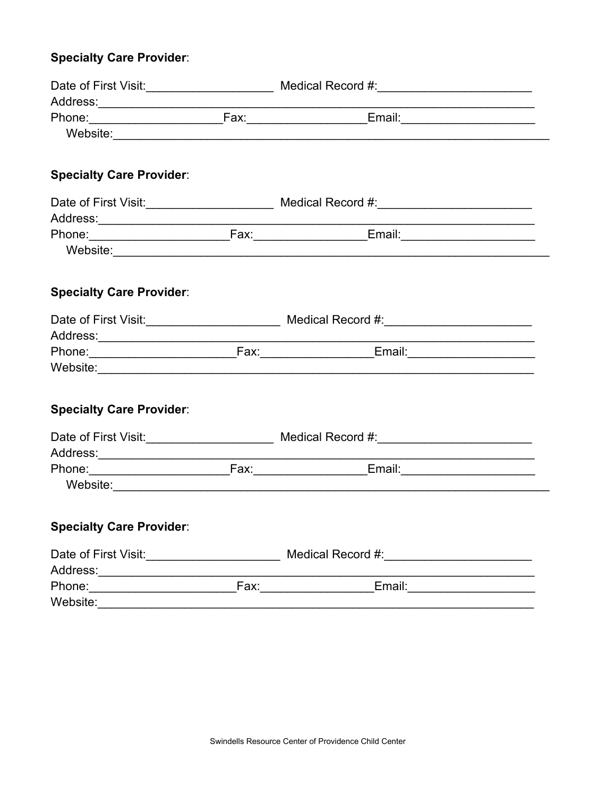## **Specialty Care Provider:**

| <b>Specialty Care Provider:</b>      |  |                                                                                                                               |  |  |
|--------------------------------------|--|-------------------------------------------------------------------------------------------------------------------------------|--|--|
|                                      |  | Date of First Visit: _______________________ Medical Record #:___________________                                             |  |  |
|                                      |  |                                                                                                                               |  |  |
|                                      |  |                                                                                                                               |  |  |
|                                      |  |                                                                                                                               |  |  |
|                                      |  |                                                                                                                               |  |  |
| <b>Specialty Care Provider:</b>      |  |                                                                                                                               |  |  |
|                                      |  |                                                                                                                               |  |  |
| Address:____________________________ |  | <u> 1989 - Johann Barbara, martxa alemani</u> ar a                                                                            |  |  |
|                                      |  |                                                                                                                               |  |  |
|                                      |  |                                                                                                                               |  |  |
|                                      |  |                                                                                                                               |  |  |
| <b>Specialty Care Provider:</b>      |  |                                                                                                                               |  |  |
|                                      |  | Date of First Visit: ______________________ Medical Record #:___________________                                              |  |  |
|                                      |  | <u> 1980 - Johann John Stone, mars et al. 1980 - John Stone, mars et al. 1980 - John Stone, mars et al. 1980 - John Stone</u> |  |  |
|                                      |  |                                                                                                                               |  |  |
|                                      |  |                                                                                                                               |  |  |
|                                      |  |                                                                                                                               |  |  |
| <b>Specialty Care Provider:</b>      |  |                                                                                                                               |  |  |
|                                      |  |                                                                                                                               |  |  |
| Address:______________________       |  |                                                                                                                               |  |  |
|                                      |  |                                                                                                                               |  |  |
|                                      |  |                                                                                                                               |  |  |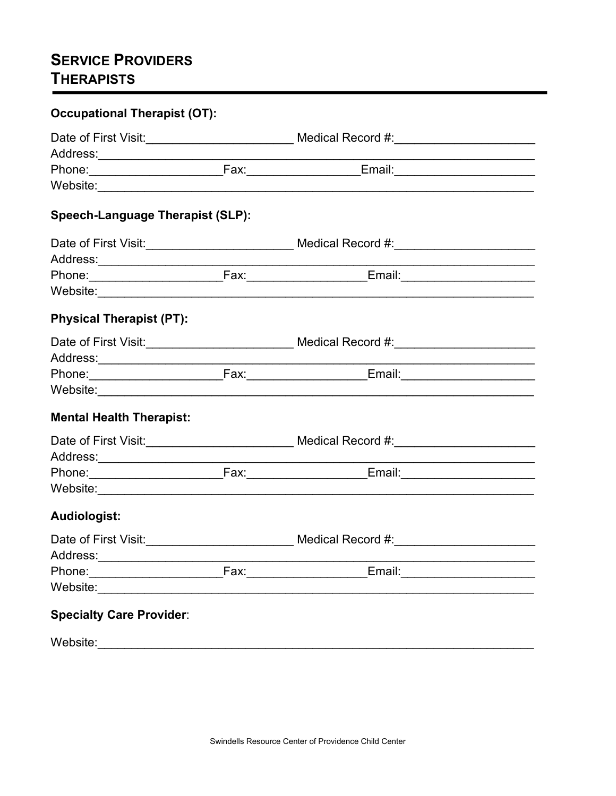# **SERVICE PROVIDERS THERAPISTS**

| <b>Occupational Therapist (OT):</b>           |                                                                                                      |  |
|-----------------------------------------------|------------------------------------------------------------------------------------------------------|--|
|                                               | Date of First Visit:____________________________ Medical Record #:_____________________              |  |
|                                               |                                                                                                      |  |
|                                               |                                                                                                      |  |
|                                               |                                                                                                      |  |
| <b>Speech-Language Therapist (SLP):</b>       |                                                                                                      |  |
|                                               | Date of First Visit:_____________________________ Medical Record #:_________________________________ |  |
|                                               |                                                                                                      |  |
|                                               |                                                                                                      |  |
|                                               |                                                                                                      |  |
| <b>Physical Therapist (PT):</b>               |                                                                                                      |  |
|                                               |                                                                                                      |  |
|                                               |                                                                                                      |  |
|                                               |                                                                                                      |  |
|                                               |                                                                                                      |  |
| <b>Mental Health Therapist:</b>               |                                                                                                      |  |
|                                               |                                                                                                      |  |
|                                               |                                                                                                      |  |
|                                               |                                                                                                      |  |
|                                               |                                                                                                      |  |
| <b>Audiologist:</b>                           |                                                                                                      |  |
|                                               |                                                                                                      |  |
| Address:<br>the control of the control of the |                                                                                                      |  |
|                                               |                                                                                                      |  |
|                                               |                                                                                                      |  |
| <b>Specialty Care Provider:</b>               |                                                                                                      |  |
| Website:                                      |                                                                                                      |  |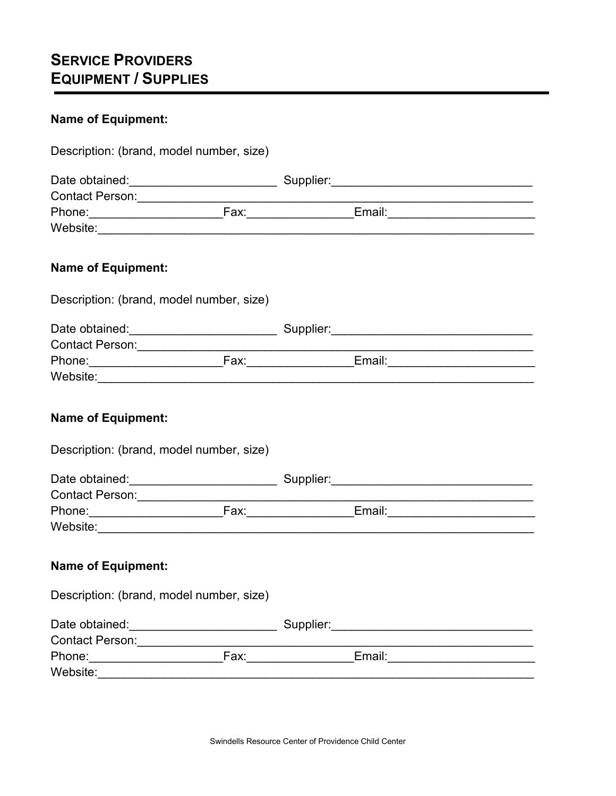# **SERVICE PROVIDERS EQUIPMENT / SUPPLIES**

## **Name of Equipment:**

| Description: (brand, model number, size)                              |  |                                                                                  |
|-----------------------------------------------------------------------|--|----------------------------------------------------------------------------------|
|                                                                       |  |                                                                                  |
|                                                                       |  |                                                                                  |
|                                                                       |  |                                                                                  |
|                                                                       |  |                                                                                  |
| <b>Name of Equipment:</b>                                             |  |                                                                                  |
| Description: (brand, model number, size)                              |  |                                                                                  |
|                                                                       |  |                                                                                  |
|                                                                       |  |                                                                                  |
|                                                                       |  |                                                                                  |
|                                                                       |  |                                                                                  |
| <b>Name of Equipment:</b><br>Description: (brand, model number, size) |  |                                                                                  |
|                                                                       |  |                                                                                  |
|                                                                       |  |                                                                                  |
|                                                                       |  |                                                                                  |
|                                                                       |  |                                                                                  |
| <b>Name of Equipment:</b>                                             |  |                                                                                  |
| Description: (brand, model number, size)                              |  |                                                                                  |
|                                                                       |  | Date obtained:________________________________Supplier:_________________________ |
| Contact Person: ____________                                          |  |                                                                                  |
|                                                                       |  | Email: <b>Email:</b>                                                             |
|                                                                       |  |                                                                                  |
|                                                                       |  |                                                                                  |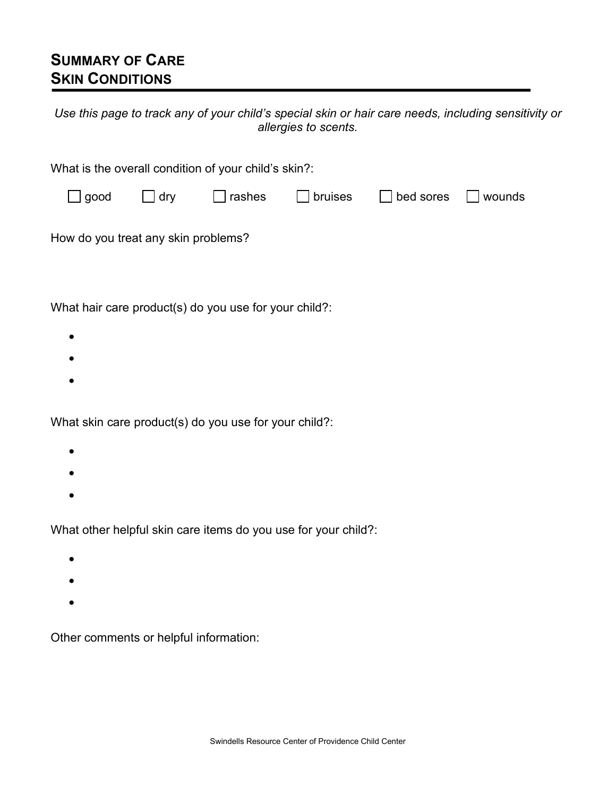## **SUMMARY OF CARE SKIN CONDITIONS**

| Use this page to track any of your child's special skin or hair care needs, including sensitivity or |
|------------------------------------------------------------------------------------------------------|
| allergies to scents.                                                                                 |

| What is the overall condition of your child's skin?: |  |  |  |  |  |  |
|------------------------------------------------------|--|--|--|--|--|--|
| bed sores<br>wounds                                  |  |  |  |  |  |  |
|                                                      |  |  |  |  |  |  |
|                                                      |  |  |  |  |  |  |
|                                                      |  |  |  |  |  |  |
|                                                      |  |  |  |  |  |  |
|                                                      |  |  |  |  |  |  |
|                                                      |  |  |  |  |  |  |

- •
- •

What skin care product(s) do you use for your child?:

- •
- •
- •

What other helpful skin care items do you use for your child?:

- •
- •
- •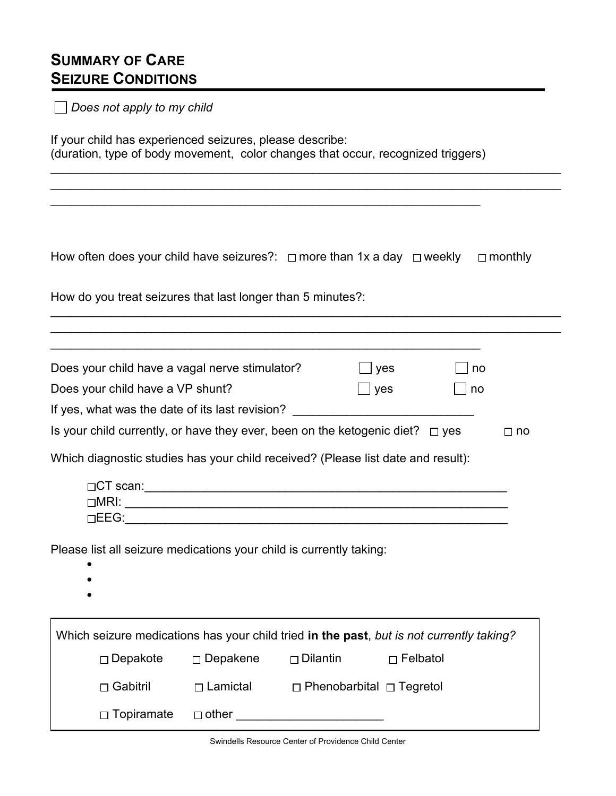## **SUMMARY OF CARE SEIZURE CONDITIONS**

| Does not apply to my child                                                                                                                   |                    |                                      |                 |           |  |  |
|----------------------------------------------------------------------------------------------------------------------------------------------|--------------------|--------------------------------------|-----------------|-----------|--|--|
| If your child has experienced seizures, please describe:<br>(duration, type of body movement, color changes that occur, recognized triggers) |                    |                                      |                 |           |  |  |
|                                                                                                                                              |                    |                                      |                 |           |  |  |
|                                                                                                                                              |                    |                                      |                 |           |  |  |
|                                                                                                                                              |                    |                                      |                 |           |  |  |
| How often does your child have seizures?: □ more than 1x a day □ weekly □ monthly                                                            |                    |                                      |                 |           |  |  |
| How do you treat seizures that last longer than 5 minutes?:                                                                                  |                    |                                      |                 |           |  |  |
|                                                                                                                                              |                    |                                      |                 |           |  |  |
|                                                                                                                                              |                    |                                      |                 |           |  |  |
| Does your child have a vagal nerve stimulator?                                                                                               |                    |                                      | yes             | no        |  |  |
| Does your child have a VP shunt?                                                                                                             |                    |                                      | yes             | no        |  |  |
| If yes, what was the date of its last revision?                                                                                              |                    |                                      |                 |           |  |  |
| Is your child currently, or have they ever, been on the ketogenic diet? $\Box$ yes                                                           |                    |                                      |                 | $\Box$ no |  |  |
| Which diagnostic studies has your child received? (Please list date and result):                                                             |                    |                                      |                 |           |  |  |
|                                                                                                                                              |                    |                                      |                 |           |  |  |
|                                                                                                                                              |                    |                                      |                 |           |  |  |
|                                                                                                                                              |                    |                                      |                 |           |  |  |
| Please list all seizure medications your child is currently taking:                                                                          |                    |                                      |                 |           |  |  |
|                                                                                                                                              |                    |                                      |                 |           |  |  |
|                                                                                                                                              |                    |                                      |                 |           |  |  |
|                                                                                                                                              |                    |                                      |                 |           |  |  |
| Which seizure medications has your child tried in the past, but is not currently taking?                                                     |                    |                                      |                 |           |  |  |
| $\square$ Depakote                                                                                                                           | $\square$ Depakene | $\Box$ Dilantin                      | $\Box$ Felbatol |           |  |  |
| $\Box$ Gabitril                                                                                                                              | $\Box$ Lamictal    | $\Box$ Phenobarbital $\Box$ Tegretol |                 |           |  |  |
| $\Box$ Topiramate                                                                                                                            | $\Box$ other       |                                      |                 |           |  |  |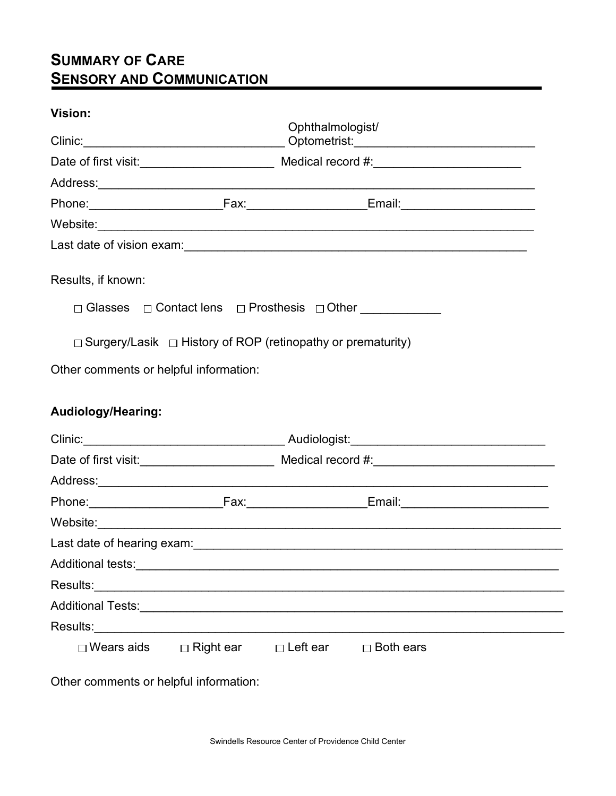## **SUMMARY OF CARE SENSORY AND COMMUNICATION**

## **Vision:**

|                           |                                                                                                                   | Ophthalmologist/                              |  |  |
|---------------------------|-------------------------------------------------------------------------------------------------------------------|-----------------------------------------------|--|--|
|                           |                                                                                                                   |                                               |  |  |
|                           |                                                                                                                   |                                               |  |  |
|                           |                                                                                                                   |                                               |  |  |
|                           |                                                                                                                   |                                               |  |  |
|                           |                                                                                                                   |                                               |  |  |
| Results, if known:        | $\Box$ Surgery/Lasik $\Box$ History of ROP (retinopathy or prematurity)<br>Other comments or helpful information: | □ Glasses □ Contact lens □ Prosthesis □ Other |  |  |
| <b>Audiology/Hearing:</b> |                                                                                                                   |                                               |  |  |
| $C$ linic $\cdot$         |                                                                                                                   | Audiologist <sup>.</sup>                      |  |  |

|                                |  | Fax:____________________  | Email: _________________________ |  |
|--------------------------------|--|---------------------------|----------------------------------|--|
|                                |  |                           |                                  |  |
|                                |  |                           |                                  |  |
|                                |  |                           |                                  |  |
|                                |  |                           |                                  |  |
|                                |  |                           |                                  |  |
| Results: _____________________ |  |                           |                                  |  |
| ⊟ Wears aids                   |  | □ Right ear    □ Left ear | $\Box$ Both ears                 |  |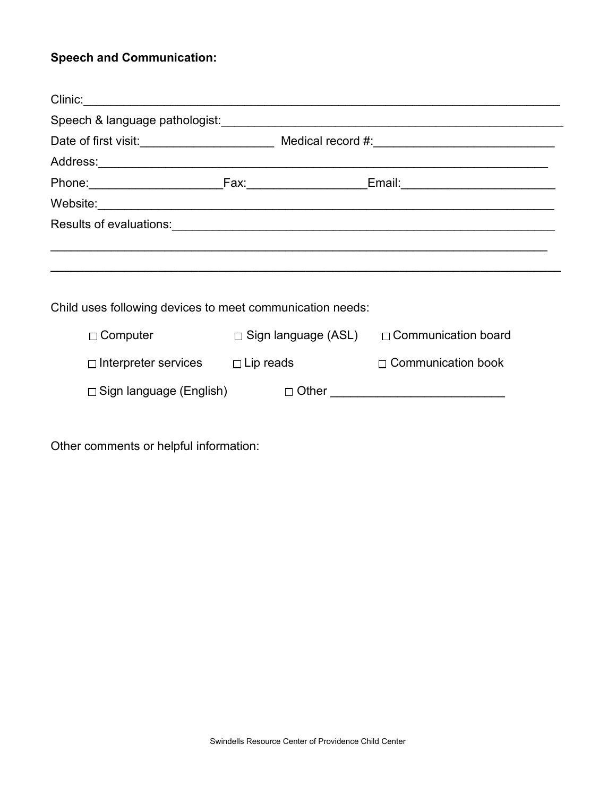## **Speech and Communication:**

| Results of evaluations: <b>with the control of the control of the control of the control of the control of the control of the control of the control of the control of the control of the control of the control of the control </b> |                                                       |
|--------------------------------------------------------------------------------------------------------------------------------------------------------------------------------------------------------------------------------------|-------------------------------------------------------|
|                                                                                                                                                                                                                                      |                                                       |
|                                                                                                                                                                                                                                      |                                                       |
|                                                                                                                                                                                                                                      |                                                       |
| Child uses following devices to meet communication needs:                                                                                                                                                                            |                                                       |
| $\Box$ Computer                                                                                                                                                                                                                      | $\Box$ Sign language (ASL) $\Box$ Communication board |
| $\Box$ Interpreter services $\Box$ Lip reads                                                                                                                                                                                         | $\Box$ Communication book                             |
| ⊟ Sign language (English)                                                                                                                                                                                                            |                                                       |
|                                                                                                                                                                                                                                      |                                                       |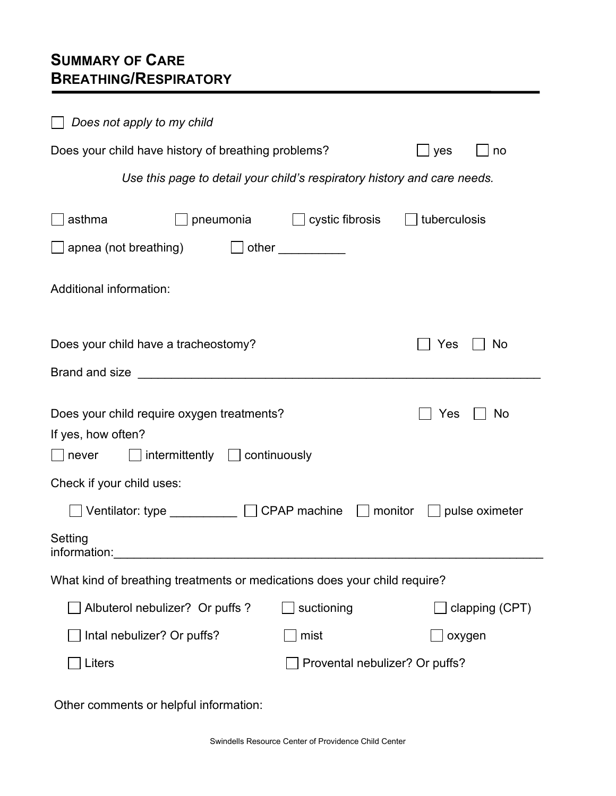# **SUMMARY OF CARE BREATHING/RESPIRATORY**

| Does not apply to my child                                                                                                           |
|--------------------------------------------------------------------------------------------------------------------------------------|
| Does your child have history of breathing problems?<br>yes<br>no                                                                     |
| Use this page to detail your child's respiratory history and care needs.                                                             |
| cystic fibrosis<br>tuberculosis<br>asthma<br>pneumonia                                                                               |
| apnea (not breathing)                                                                                                                |
| Additional information:                                                                                                              |
| Does your child have a tracheostomy?<br>Yes<br><b>No</b>                                                                             |
| Brand and size                                                                                                                       |
| Does your child require oxygen treatments?<br>Yes<br>No<br>If yes, how often?<br>$intermittently \t\t\t\t\Box$ continuously<br>never |
| Check if your child uses:                                                                                                            |
| Ventilator: type CPAP machine<br>$\Box$ monitor $\Box$ pulse oximeter                                                                |
| Setting<br>information:                                                                                                              |
| What kind of breathing treatments or medications does your child require?                                                            |
| Albuterol nebulizer? Or puffs ?<br>suctioning<br>clapping (CPT)                                                                      |
| Intal nebulizer? Or puffs?<br>mist<br>oxygen                                                                                         |
| Liters<br>Provental nebulizer? Or puffs?                                                                                             |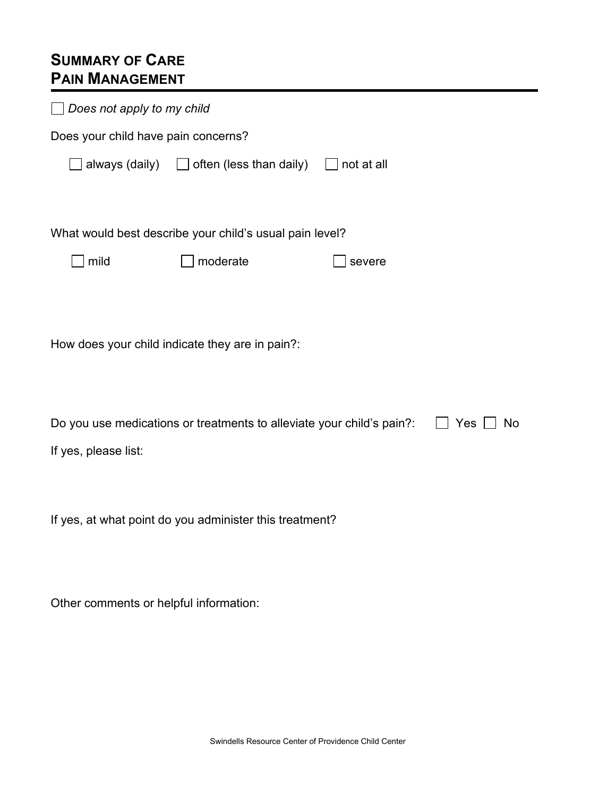# **SUMMARY OF CARE PAIN MANAGEMENT**

| Does not apply to my child                                                         |                                                         |            |  |  |
|------------------------------------------------------------------------------------|---------------------------------------------------------|------------|--|--|
| Does your child have pain concerns?                                                |                                                         |            |  |  |
| always (daily)                                                                     | $\Box$ often (less than daily)                          | not at all |  |  |
|                                                                                    |                                                         |            |  |  |
|                                                                                    | What would best describe your child's usual pain level? |            |  |  |
| mild                                                                               | moderate                                                | severe     |  |  |
|                                                                                    |                                                         |            |  |  |
|                                                                                    |                                                         |            |  |  |
|                                                                                    | How does your child indicate they are in pain?:         |            |  |  |
|                                                                                    |                                                         |            |  |  |
| Do you use medications or treatments to alleviate your child's pain?:<br>Yes<br>No |                                                         |            |  |  |
| If yes, please list:                                                               |                                                         |            |  |  |
|                                                                                    |                                                         |            |  |  |
|                                                                                    | If yes, at what point do you administer this treatment? |            |  |  |
|                                                                                    |                                                         |            |  |  |
|                                                                                    |                                                         |            |  |  |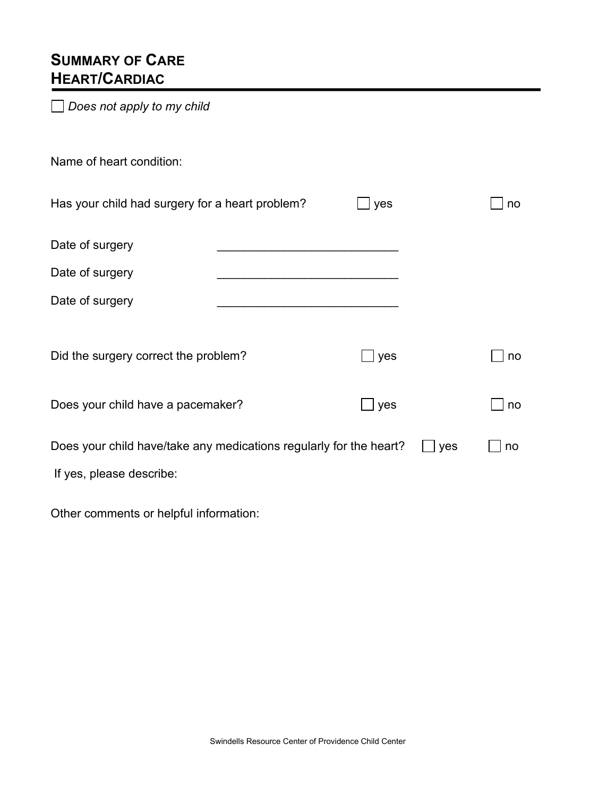## **SUMMARY OF CARE HEART/CARDIAC**

*Does not apply to my child*

| Name of heart condition:                                           |     |     |    |
|--------------------------------------------------------------------|-----|-----|----|
| Has your child had surgery for a heart problem?                    | yes |     | no |
| Date of surgery                                                    |     |     |    |
| Date of surgery                                                    |     |     |    |
| Date of surgery                                                    |     |     |    |
|                                                                    |     |     |    |
| Did the surgery correct the problem?                               | yes |     | no |
|                                                                    |     |     |    |
| Does your child have a pacemaker?                                  | yes |     | no |
| Does your child have/take any medications regularly for the heart? |     | yes | no |
| If yes, please describe:                                           |     |     |    |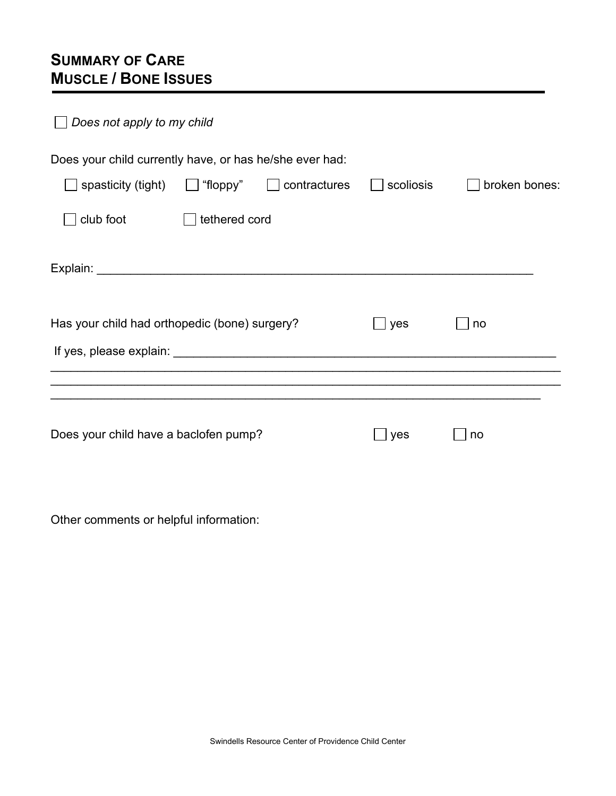# **SUMMARY OF CARE MUSCLE / BONE ISSUES**

Ī

| Does not apply to my child                              |               |              |           |               |
|---------------------------------------------------------|---------------|--------------|-----------|---------------|
| Does your child currently have, or has he/she ever had: |               |              | scoliosis | broken bones: |
| spasticity (tight)                                      | "floppy"      | contractures |           |               |
| club foot                                               | tethered cord |              |           |               |
|                                                         |               |              |           |               |
| Has your child had orthopedic (bone) surgery?           |               |              | yes       | no            |
|                                                         |               |              |           |               |
|                                                         |               |              |           |               |
| Does your child have a baclofen pump?                   |               |              | yes       | no            |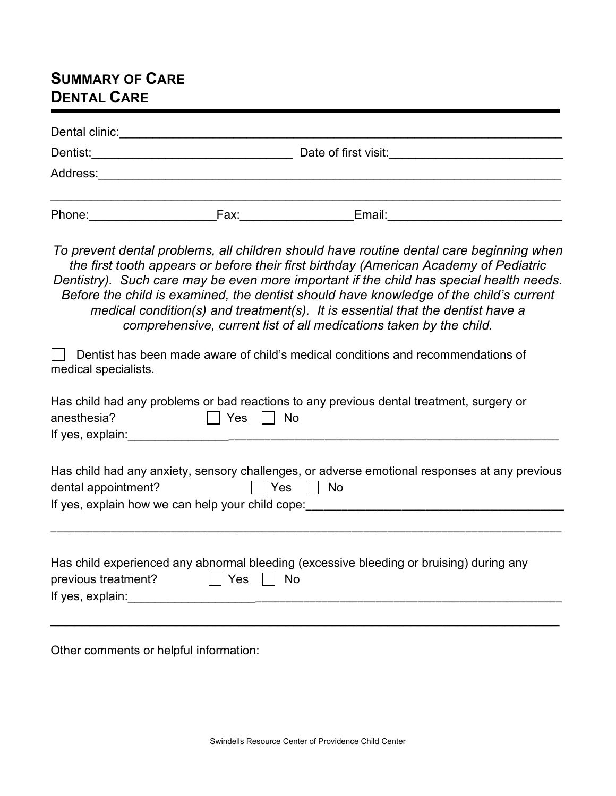## **SUMMARY OF CARE DENTAL CARE**

| Dental clinic: |      |                      |  |
|----------------|------|----------------------|--|
| Dentist:       |      | Date of first visit: |  |
| Address:       |      |                      |  |
| Phone:         | Fax: | Email:               |  |

*To prevent dental problems, all children should have routine dental care beginning when the first tooth appears or before their first birthday (American Academy of Pediatric Dentistry). Such care may be even more important if the child has special health needs. Before the child is examined, the dentist should have knowledge of the child's current medical condition(s) and treatment(s). It is essential that the dentist have a comprehensive, current list of all medications taken by the child.*

| Dentist has been made aware of child's medical conditions and recommendations of<br>medical specialists.                                                                              |
|---------------------------------------------------------------------------------------------------------------------------------------------------------------------------------------|
| Has child had any problems or bad reactions to any previous dental treatment, surgery or<br>Yes<br>No<br>anesthesia?<br>If yes, explain:                                              |
| Has child had any anxiety, sensory challenges, or adverse emotional responses at any previous<br>Yes<br>No<br>dental appointment?<br>If yes, explain how we can help your child cope: |
| Has child experienced any abnormal bleeding (excessive bleeding or bruising) during any<br>Yes<br>previous treatment?<br>No<br>If yes, explain:                                       |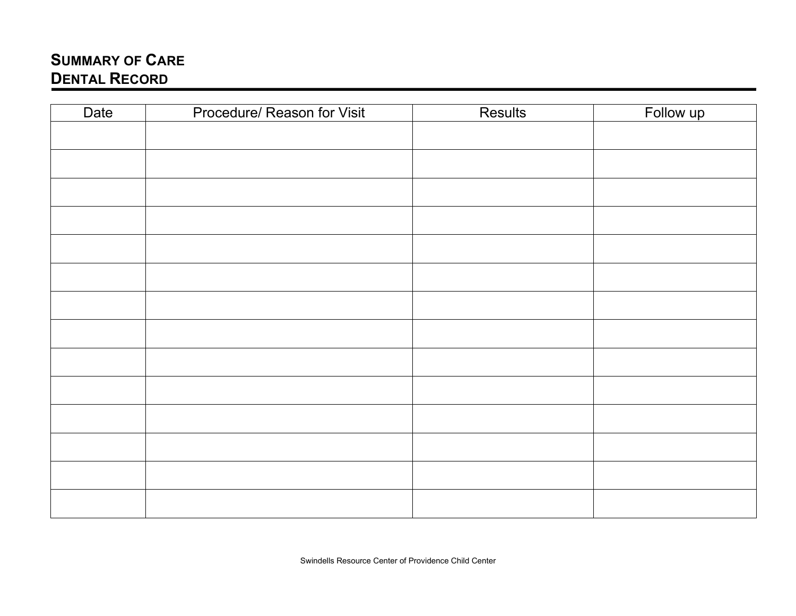# **SUMMARY OF CARE DENTAL RECORD**

| Date | Procedure/ Reason for Visit | Results | Follow up |
|------|-----------------------------|---------|-----------|
|      |                             |         |           |
|      |                             |         |           |
|      |                             |         |           |
|      |                             |         |           |
|      |                             |         |           |
|      |                             |         |           |
|      |                             |         |           |
|      |                             |         |           |
|      |                             |         |           |
|      |                             |         |           |
|      |                             |         |           |
|      |                             |         |           |
|      |                             |         |           |
|      |                             |         |           |
|      |                             |         |           |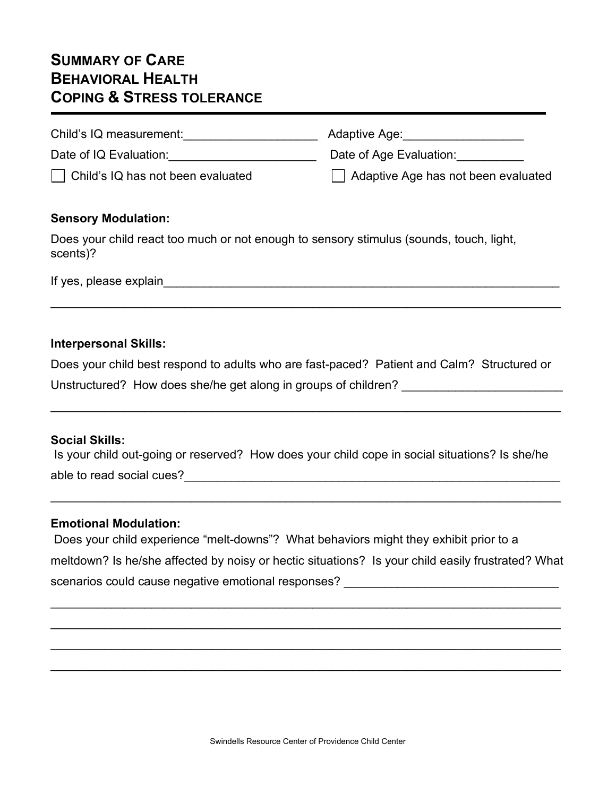## **SUMMARY OF CARE BEHAVIORAL HEALTH COPING & STRESS TOLERANCE**

| Child's IQ measurement:                           | Adaptive Age:                       |
|---------------------------------------------------|-------------------------------------|
| Date of IQ Evaluation:                            | Date of Age Evaluation:             |
| $\vert$ $\vert$ Child's IQ has not been evaluated | Adaptive Age has not been evaluated |

### **Sensory Modulation:**

Does your child react too much or not enough to sensory stimulus (sounds, touch, light, scents)?

If yes, please explain\_\_\_\_\_\_\_\_\_\_\_\_\_\_\_\_\_\_\_\_\_\_\_\_\_\_\_\_\_\_\_\_\_\_\_\_\_\_\_\_\_\_\_\_\_\_\_\_\_\_\_\_\_\_\_\_\_\_\_

### **Interpersonal Skills:**

Does your child best respond to adults who are fast-paced? Patient and Calm? Structured or Unstructured? How does she/he get along in groups of children?

\_\_\_\_\_\_\_\_\_\_\_\_\_\_\_\_\_\_\_\_\_\_\_\_\_\_\_\_\_\_\_\_\_\_\_\_\_\_\_\_\_\_\_\_\_\_\_\_\_\_\_\_\_\_\_\_\_\_\_\_\_\_\_\_\_\_\_\_\_\_\_\_\_\_\_\_

\_\_\_\_\_\_\_\_\_\_\_\_\_\_\_\_\_\_\_\_\_\_\_\_\_\_\_\_\_\_\_\_\_\_\_\_\_\_\_\_\_\_\_\_\_\_\_\_\_\_\_\_\_\_\_\_\_\_\_\_\_\_\_\_\_\_\_\_\_\_\_\_\_\_\_\_

## **Social Skills:**

Is your child out-going or reserved? How does your child cope in social situations? Is she/he able to read social cues? The same set of the same set of the same set of the same set of the same set of the s

\_\_\_\_\_\_\_\_\_\_\_\_\_\_\_\_\_\_\_\_\_\_\_\_\_\_\_\_\_\_\_\_\_\_\_\_\_\_\_\_\_\_\_\_\_\_\_\_\_\_\_\_\_\_\_\_\_\_\_\_\_\_\_\_\_\_\_\_\_\_\_\_\_\_\_\_

#### **Emotional Modulation:**

| Does your child experience "melt-downs"? What behaviors might they exhibit prior to a             |  |
|---------------------------------------------------------------------------------------------------|--|
| meltdown? Is he/she affected by noisy or hectic situations? Is your child easily frustrated? What |  |
| scenarios could cause negative emotional responses?                                               |  |

\_\_\_\_\_\_\_\_\_\_\_\_\_\_\_\_\_\_\_\_\_\_\_\_\_\_\_\_\_\_\_\_\_\_\_\_\_\_\_\_\_\_\_\_\_\_\_\_\_\_\_\_\_\_\_\_\_\_\_\_\_\_\_\_\_\_\_\_\_\_\_\_\_\_\_\_

\_\_\_\_\_\_\_\_\_\_\_\_\_\_\_\_\_\_\_\_\_\_\_\_\_\_\_\_\_\_\_\_\_\_\_\_\_\_\_\_\_\_\_\_\_\_\_\_\_\_\_\_\_\_\_\_\_\_\_\_\_\_\_\_\_\_\_\_\_\_\_\_\_\_\_\_

\_\_\_\_\_\_\_\_\_\_\_\_\_\_\_\_\_\_\_\_\_\_\_\_\_\_\_\_\_\_\_\_\_\_\_\_\_\_\_\_\_\_\_\_\_\_\_\_\_\_\_\_\_\_\_\_\_\_\_\_\_\_\_\_\_\_\_\_\_\_\_\_\_\_\_\_

\_\_\_\_\_\_\_\_\_\_\_\_\_\_\_\_\_\_\_\_\_\_\_\_\_\_\_\_\_\_\_\_\_\_\_\_\_\_\_\_\_\_\_\_\_\_\_\_\_\_\_\_\_\_\_\_\_\_\_\_\_\_\_\_\_\_\_\_\_\_\_\_\_\_\_\_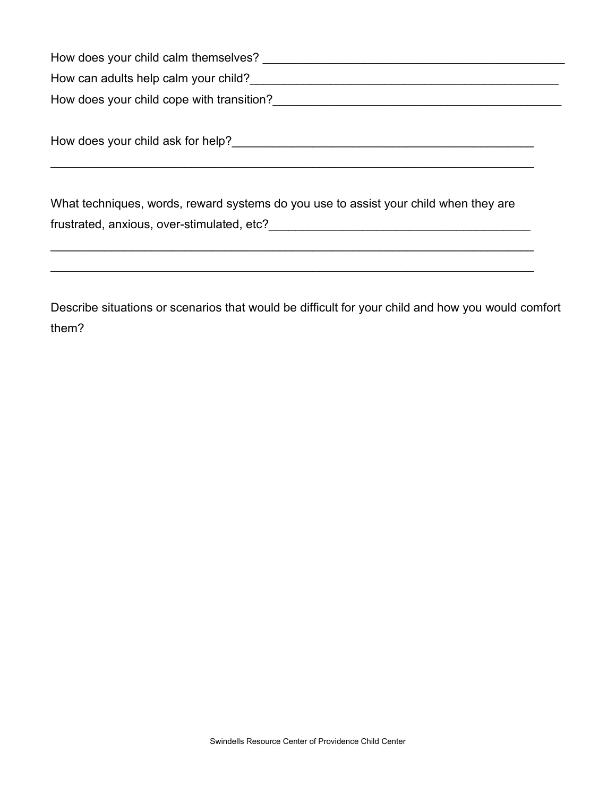| How does your child calm themselves?      |
|-------------------------------------------|
| How can adults help calm your child?      |
| How does your child cope with transition? |

| How does your child ask for help? |  |
|-----------------------------------|--|
|                                   |  |

\_\_\_\_\_\_\_\_\_\_\_\_\_\_\_\_\_\_\_\_\_\_\_\_\_\_\_\_\_\_\_\_\_\_\_\_\_\_\_\_\_\_\_\_\_\_\_\_\_\_\_\_\_\_\_\_\_\_\_\_\_\_\_\_\_\_\_\_\_\_\_\_

What techniques, words, reward systems do you use to assist your child when they are frustrated, anxious, over-stimulated, etc?\_\_\_\_\_\_\_\_\_\_\_\_\_\_\_\_\_\_\_\_\_\_\_\_\_\_\_\_\_\_\_\_\_\_\_\_\_\_\_

\_\_\_\_\_\_\_\_\_\_\_\_\_\_\_\_\_\_\_\_\_\_\_\_\_\_\_\_\_\_\_\_\_\_\_\_\_\_\_\_\_\_\_\_\_\_\_\_\_\_\_\_\_\_\_\_\_\_\_\_\_\_\_\_\_\_\_\_\_\_\_\_

Describe situations or scenarios that would be difficult for your child and how you would comfort them?

\_\_\_\_\_\_\_\_\_\_\_\_\_\_\_\_\_\_\_\_\_\_\_\_\_\_\_\_\_\_\_\_\_\_\_\_\_\_\_\_\_\_\_\_\_\_\_\_\_\_\_\_\_\_\_\_\_\_\_\_\_\_\_\_\_\_\_\_\_\_\_\_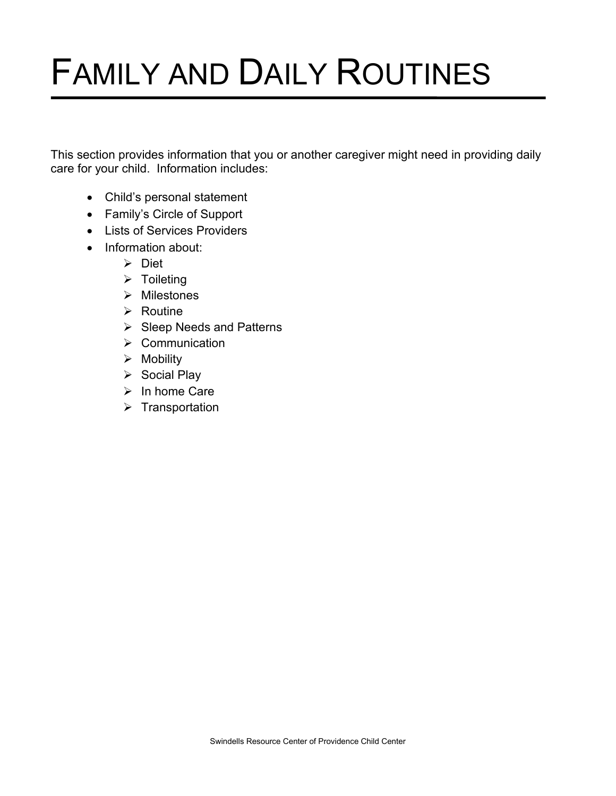# FAMILY AND DAILY ROUTINES

This section provides information that you or another caregiver might need in providing daily care for your child. Information includes:

- Child's personal statement
- Family's Circle of Support
- Lists of Services Providers
- Information about:
	- **≻** Diet
	- $\triangleright$  Toileting
	- $\triangleright$  Milestones
	- $\triangleright$  Routine
	- $\triangleright$  Sleep Needs and Patterns
	- $\triangleright$  Communication
	- $\triangleright$  Mobility
	- $\triangleright$  Social Play
	- $\triangleright$  In home Care
	- $\triangleright$  Transportation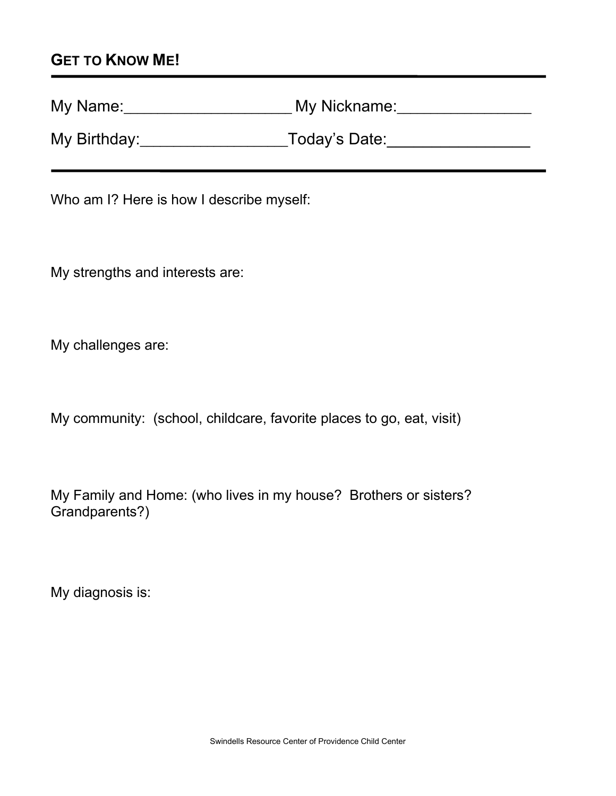## **GET TO KNOW ME!**

| My Name:     | My Nickname:  |
|--------------|---------------|
| My Birthday: | Today's Date: |

Who am I? Here is how I describe myself:

My strengths and interests are:

My challenges are:

My community: (school, childcare, favorite places to go, eat, visit)

My Family and Home: (who lives in my house? Brothers or sisters? Grandparents?)

My diagnosis is: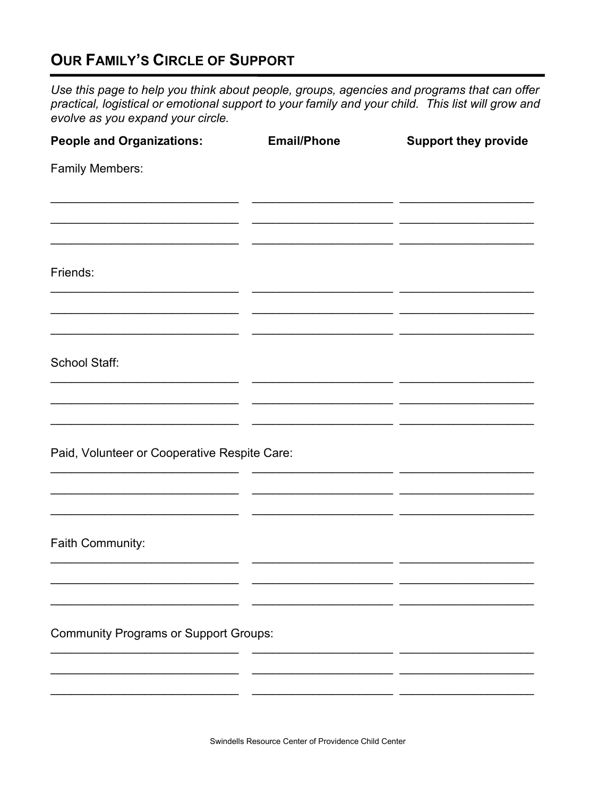# **OUR FAMILY'S CIRCLE OF SUPPORT**

Use this page to help you think about people, groups, agencies and programs that can offer practical, logistical or emotional support to your family and your child. This list will grow and evolve as you expand your circle.

| <b>People and Organizations:</b>             | <b>Email/Phone</b> | <b>Support they provide</b> |
|----------------------------------------------|--------------------|-----------------------------|
| <b>Family Members:</b>                       |                    |                             |
|                                              |                    |                             |
|                                              |                    |                             |
| Friends:                                     |                    |                             |
|                                              |                    |                             |
| School Staff:                                |                    |                             |
|                                              |                    |                             |
|                                              |                    |                             |
| Paid, Volunteer or Cooperative Respite Care: |                    |                             |
|                                              |                    |                             |
|                                              |                    |                             |
| Faith Community:                             |                    |                             |
|                                              |                    |                             |
|                                              |                    |                             |
| <b>Community Programs or Support Groups:</b> |                    |                             |
|                                              |                    |                             |
|                                              |                    |                             |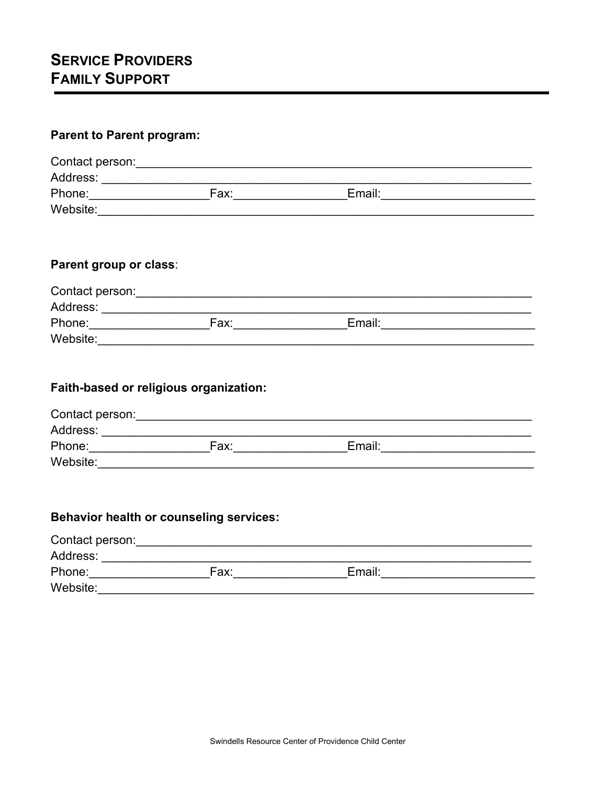## **Parent to Parent program:**

| Contact person: |      |        |  |
|-----------------|------|--------|--|
| Address:        |      |        |  |
| Phone:          | Fax: | Email: |  |
| Website:        |      |        |  |

## Parent group or class:

| Contact person: |      |        |  |
|-----------------|------|--------|--|
| Address:        |      |        |  |
| Phone:          | Fax: | Email: |  |
| Website:        |      |        |  |

## Faith-based or religious organization:

| Contact person: |      |        |  |
|-----------------|------|--------|--|
| Address:        |      |        |  |
| Phone:          | Fax: | Email: |  |
| Website:        |      |        |  |

## Behavior health or counseling services:

| Contact person: |      |        |  |
|-----------------|------|--------|--|
| Address:        |      |        |  |
| Phone:          | Fax: | Email: |  |
| Website:        |      |        |  |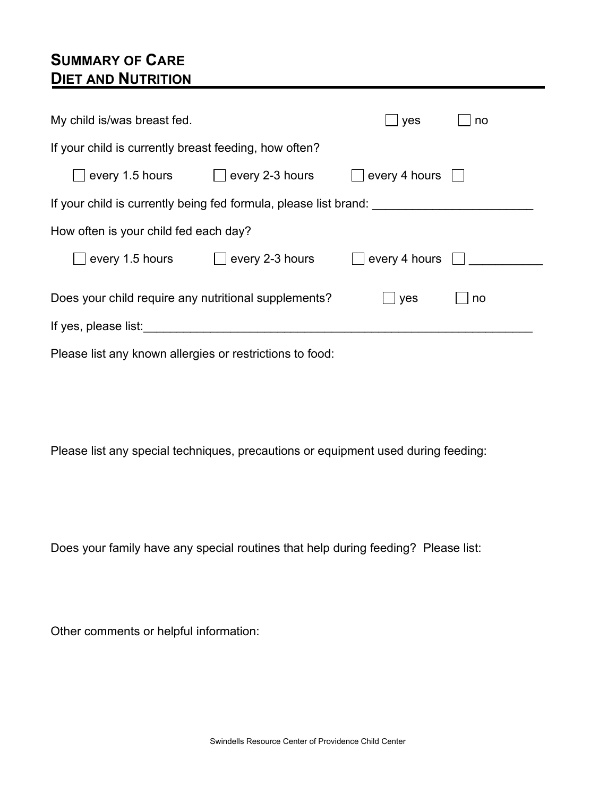## **SUMMARY OF CARE DIET AND NUTRITION**

| My child is/was breast fed.                                      |                                   | yes                           | no |
|------------------------------------------------------------------|-----------------------------------|-------------------------------|----|
| If your child is currently breast feeding, how often?            |                                   |                               |    |
|                                                                  | every 1.5 hours   every 2-3 hours | $ $ every 4 hours $  \cdot  $ |    |
| If your child is currently being fed formula, please list brand: |                                   |                               |    |
| How often is your child fed each day?                            |                                   |                               |    |
|                                                                  |                                   | $\Box$ every 4 hours $\Box$   |    |
| Does your child require any nutritional supplements?             |                                   | yes                           | no |
| If yes, please list:                                             |                                   |                               |    |
| Please list any known allergies or restrictions to food:         |                                   |                               |    |

Please list any special techniques, precautions or equipment used during feeding:

Does your family have any special routines that help during feeding? Please list: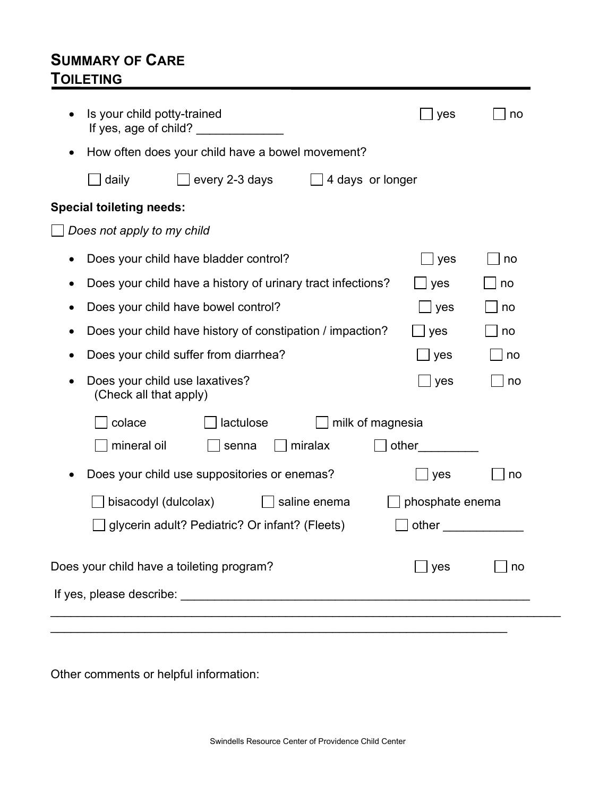## **SUMMARY OF CARE TOILETING**

| Is your child potty-trained<br>yes<br>no<br>If yes, age of child? ______________<br>How often does your child have a bowel movement?<br>every 2-3 days<br>4 days or longer<br>daily<br><b>Special toileting needs:</b><br>Does not apply to my child<br>Does your child have bladder control?<br>yes<br>no<br>Does your child have a history of urinary tract infections?<br>yes<br>no<br>Does your child have bowel control?<br>yes<br>no<br>Does your child have history of constipation / impaction?<br>yes<br>no<br>Does your child suffer from diarrhea?<br>yes<br>no<br>Does your child use laxatives?<br>yes<br>no<br>(Check all that apply)<br>lactulose<br>milk of magnesia<br>colace<br>mineral oil<br>miralax<br>other<br>senna<br>Does your child use suppositories or enemas?<br>yes<br>no<br>bisacodyl (dulcolax)<br>phosphate enema<br>saline enema<br>glycerin adult? Pediatric? Or infant? (Fleets)<br>other<br>Does your child have a toileting program?<br>J yes<br>no |  |  |  |
|-------------------------------------------------------------------------------------------------------------------------------------------------------------------------------------------------------------------------------------------------------------------------------------------------------------------------------------------------------------------------------------------------------------------------------------------------------------------------------------------------------------------------------------------------------------------------------------------------------------------------------------------------------------------------------------------------------------------------------------------------------------------------------------------------------------------------------------------------------------------------------------------------------------------------------------------------------------------------------------------|--|--|--|
|                                                                                                                                                                                                                                                                                                                                                                                                                                                                                                                                                                                                                                                                                                                                                                                                                                                                                                                                                                                           |  |  |  |
|                                                                                                                                                                                                                                                                                                                                                                                                                                                                                                                                                                                                                                                                                                                                                                                                                                                                                                                                                                                           |  |  |  |
|                                                                                                                                                                                                                                                                                                                                                                                                                                                                                                                                                                                                                                                                                                                                                                                                                                                                                                                                                                                           |  |  |  |
|                                                                                                                                                                                                                                                                                                                                                                                                                                                                                                                                                                                                                                                                                                                                                                                                                                                                                                                                                                                           |  |  |  |
|                                                                                                                                                                                                                                                                                                                                                                                                                                                                                                                                                                                                                                                                                                                                                                                                                                                                                                                                                                                           |  |  |  |
|                                                                                                                                                                                                                                                                                                                                                                                                                                                                                                                                                                                                                                                                                                                                                                                                                                                                                                                                                                                           |  |  |  |
|                                                                                                                                                                                                                                                                                                                                                                                                                                                                                                                                                                                                                                                                                                                                                                                                                                                                                                                                                                                           |  |  |  |
|                                                                                                                                                                                                                                                                                                                                                                                                                                                                                                                                                                                                                                                                                                                                                                                                                                                                                                                                                                                           |  |  |  |
|                                                                                                                                                                                                                                                                                                                                                                                                                                                                                                                                                                                                                                                                                                                                                                                                                                                                                                                                                                                           |  |  |  |
|                                                                                                                                                                                                                                                                                                                                                                                                                                                                                                                                                                                                                                                                                                                                                                                                                                                                                                                                                                                           |  |  |  |
|                                                                                                                                                                                                                                                                                                                                                                                                                                                                                                                                                                                                                                                                                                                                                                                                                                                                                                                                                                                           |  |  |  |
|                                                                                                                                                                                                                                                                                                                                                                                                                                                                                                                                                                                                                                                                                                                                                                                                                                                                                                                                                                                           |  |  |  |
|                                                                                                                                                                                                                                                                                                                                                                                                                                                                                                                                                                                                                                                                                                                                                                                                                                                                                                                                                                                           |  |  |  |
|                                                                                                                                                                                                                                                                                                                                                                                                                                                                                                                                                                                                                                                                                                                                                                                                                                                                                                                                                                                           |  |  |  |
|                                                                                                                                                                                                                                                                                                                                                                                                                                                                                                                                                                                                                                                                                                                                                                                                                                                                                                                                                                                           |  |  |  |
|                                                                                                                                                                                                                                                                                                                                                                                                                                                                                                                                                                                                                                                                                                                                                                                                                                                                                                                                                                                           |  |  |  |
|                                                                                                                                                                                                                                                                                                                                                                                                                                                                                                                                                                                                                                                                                                                                                                                                                                                                                                                                                                                           |  |  |  |
|                                                                                                                                                                                                                                                                                                                                                                                                                                                                                                                                                                                                                                                                                                                                                                                                                                                                                                                                                                                           |  |  |  |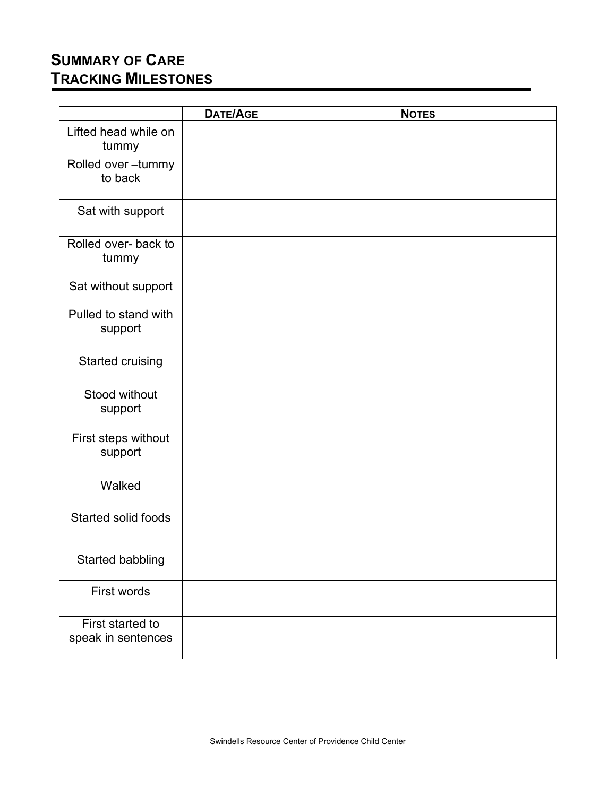# **SUMMARY OF CARE TRACKING MILESTONES**

|                                        | <b>DATE/AGE</b> | <b>NOTES</b> |
|----------------------------------------|-----------------|--------------|
| Lifted head while on<br>tummy          |                 |              |
| Rolled over-tummy<br>to back           |                 |              |
| Sat with support                       |                 |              |
| Rolled over- back to<br>tummy          |                 |              |
| Sat without support                    |                 |              |
| Pulled to stand with<br>support        |                 |              |
| <b>Started cruising</b>                |                 |              |
| Stood without<br>support               |                 |              |
| First steps without<br>support         |                 |              |
| Walked                                 |                 |              |
| Started solid foods                    |                 |              |
| Started babbling                       |                 |              |
| First words                            |                 |              |
| First started to<br>speak in sentences |                 |              |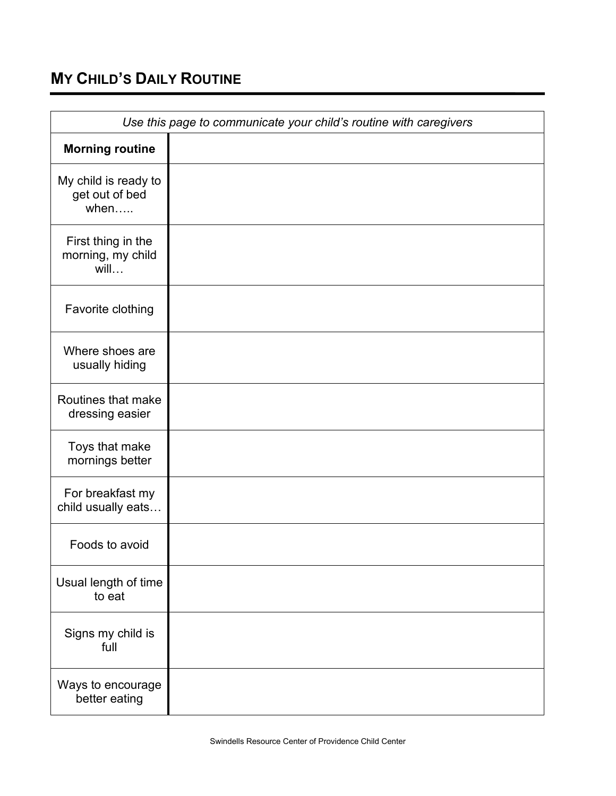# **MY CHILD'S DAILY ROUTINE**

| Use this page to communicate your child's routine with caregivers |  |  |
|-------------------------------------------------------------------|--|--|
| <b>Morning routine</b>                                            |  |  |
| My child is ready to<br>get out of bed<br>when                    |  |  |
| First thing in the<br>morning, my child<br>will                   |  |  |
| Favorite clothing                                                 |  |  |
| Where shoes are<br>usually hiding                                 |  |  |
| Routines that make<br>dressing easier                             |  |  |
| Toys that make<br>mornings better                                 |  |  |
| For breakfast my<br>child usually eats                            |  |  |
| Foods to avoid                                                    |  |  |
| Usual length of time<br>to eat                                    |  |  |
| Signs my child is<br>full                                         |  |  |
| Ways to encourage<br>better eating                                |  |  |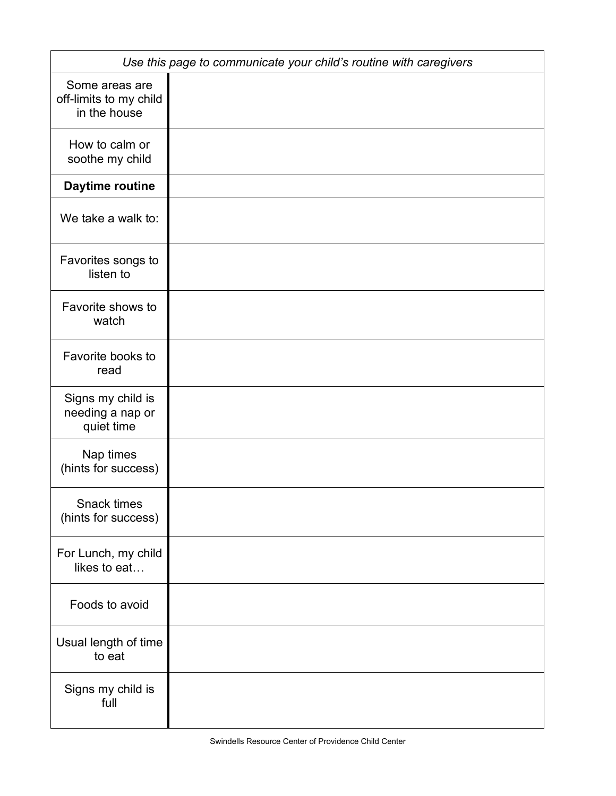|                                                          | Use this page to communicate your child's routine with caregivers |
|----------------------------------------------------------|-------------------------------------------------------------------|
| Some areas are<br>off-limits to my child<br>in the house |                                                                   |
| How to calm or<br>soothe my child                        |                                                                   |
| Daytime routine                                          |                                                                   |
| We take a walk to:                                       |                                                                   |
| Favorites songs to<br>listen to                          |                                                                   |
| Favorite shows to<br>watch                               |                                                                   |
| Favorite books to<br>read                                |                                                                   |
| Signs my child is<br>needing a nap or<br>quiet time      |                                                                   |
| Nap times<br>(hints for success)                         |                                                                   |
| Snack times<br>(hints for success)                       |                                                                   |
| For Lunch, my child<br>likes to eat                      |                                                                   |
| Foods to avoid                                           |                                                                   |
| Usual length of time<br>to eat                           |                                                                   |
| Signs my child is<br>full                                |                                                                   |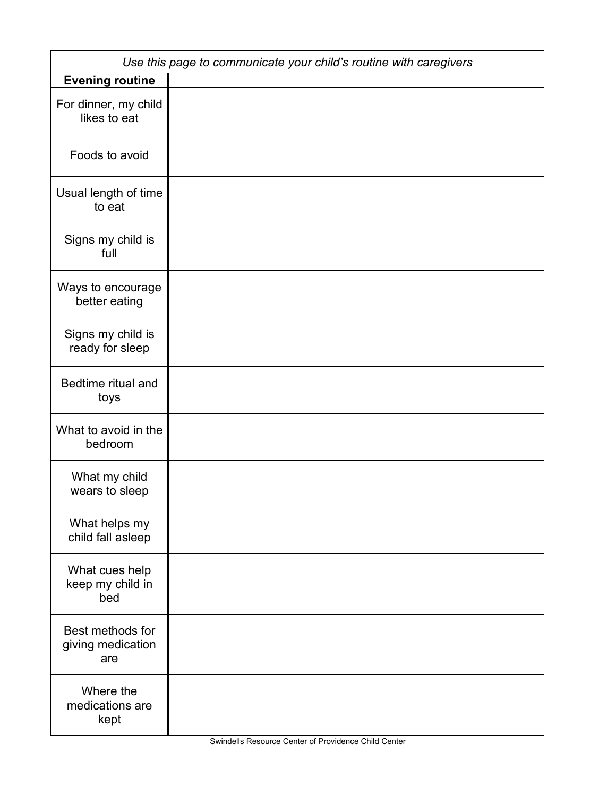|                                              | Use this page to communicate your child's routine with caregivers |
|----------------------------------------------|-------------------------------------------------------------------|
| <b>Evening routine</b>                       |                                                                   |
| For dinner, my child<br>likes to eat         |                                                                   |
| Foods to avoid                               |                                                                   |
| Usual length of time<br>to eat               |                                                                   |
| Signs my child is<br>full                    |                                                                   |
| Ways to encourage<br>better eating           |                                                                   |
| Signs my child is<br>ready for sleep         |                                                                   |
| Bedtime ritual and<br>toys                   |                                                                   |
| What to avoid in the<br>bedroom              |                                                                   |
| What my child<br>wears to sleep              |                                                                   |
| What helps my<br>child fall asleep           |                                                                   |
| What cues help<br>keep my child in<br>bed    |                                                                   |
| Best methods for<br>giving medication<br>are |                                                                   |
| Where the<br>medications are<br>kept         |                                                                   |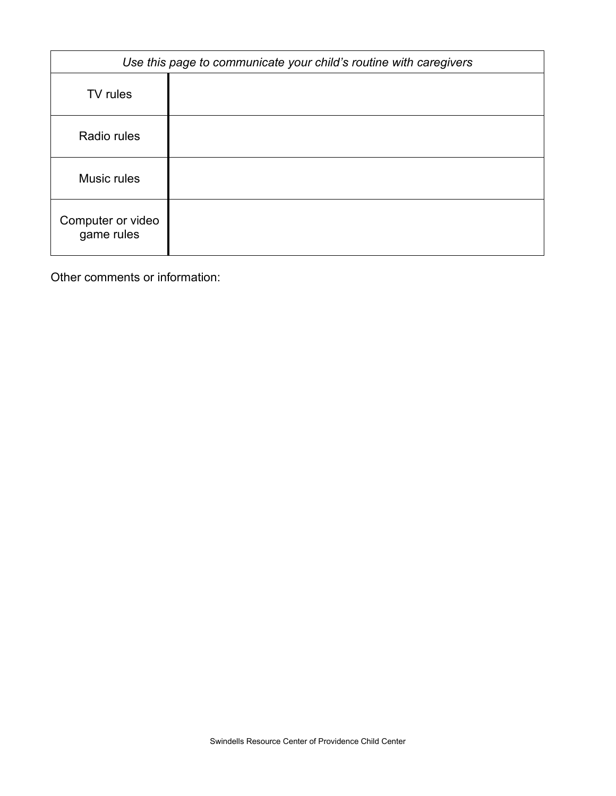|                                 | Use this page to communicate your child's routine with caregivers |
|---------------------------------|-------------------------------------------------------------------|
| TV rules                        |                                                                   |
| Radio rules                     |                                                                   |
| Music rules                     |                                                                   |
| Computer or video<br>game rules |                                                                   |

Other comments or information: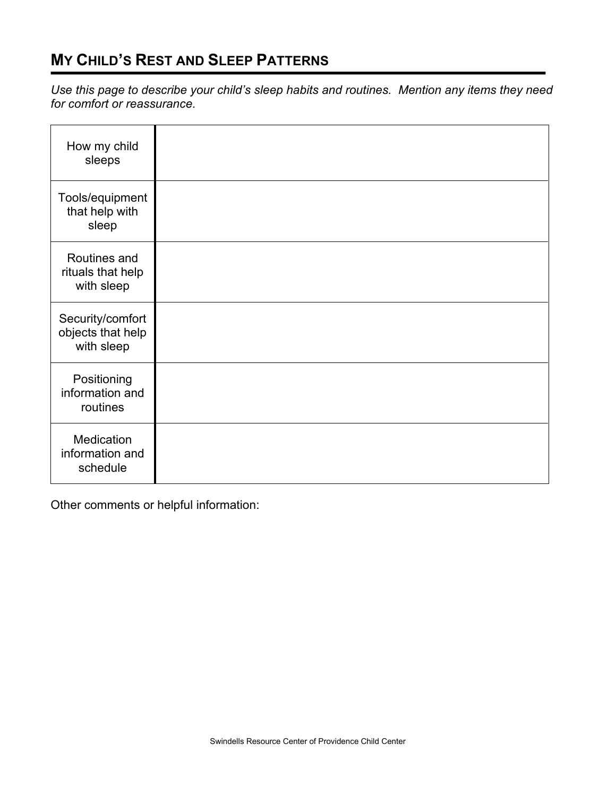## **MY CHILD'S REST AND SLEEP PATTERNS**

*Use this page to describe your child's sleep habits and routines. Mention any items they need for comfort or reassurance.* 

| How my child<br>sleeps                              |  |
|-----------------------------------------------------|--|
| Tools/equipment<br>that help with<br>sleep          |  |
| Routines and<br>rituals that help<br>with sleep     |  |
| Security/comfort<br>objects that help<br>with sleep |  |
| Positioning<br>information and<br>routines          |  |
| Medication<br>information and<br>schedule           |  |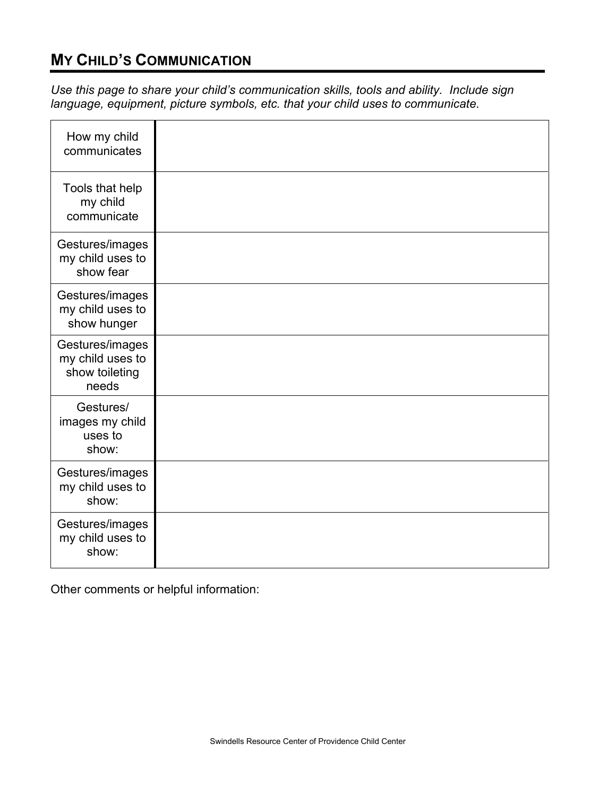## **MY CHILD'S COMMUNICATION**

*Use this page to share your child's communication skills, tools and ability. Include sign language, equipment, picture symbols, etc. that your child uses to communicate.*

| How my child<br>communicates                                   |  |
|----------------------------------------------------------------|--|
| Tools that help<br>my child<br>communicate                     |  |
| Gestures/images<br>my child uses to<br>show fear               |  |
| Gestures/images<br>my child uses to<br>show hunger             |  |
| Gestures/images<br>my child uses to<br>show toileting<br>needs |  |
| Gestures/<br>images my child<br>uses to<br>show:               |  |
| Gestures/images<br>my child uses to<br>show:                   |  |
| Gestures/images<br>my child uses to<br>show:                   |  |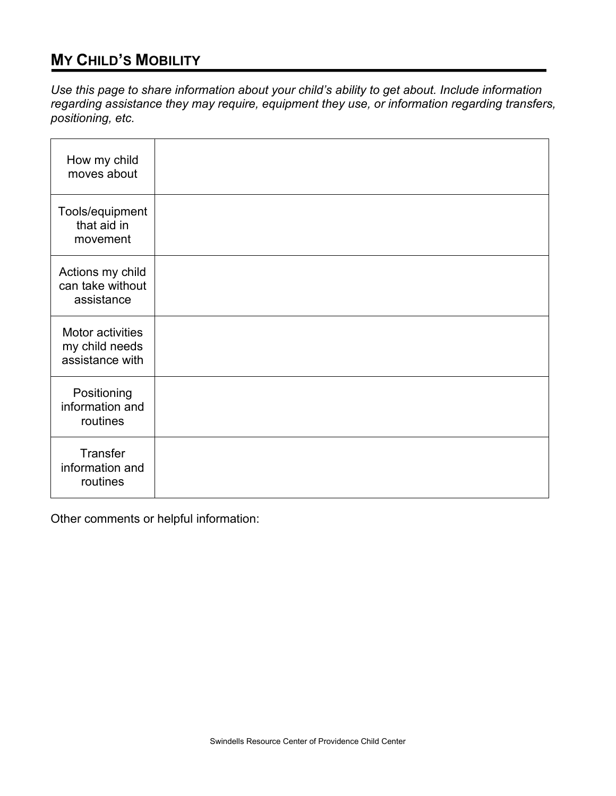## **MY CHILD'S MOBILITY**

*Use this page to share information about your child's ability to get about. Include information regarding assistance they may require, equipment they use, or information regarding transfers, positioning, etc.* 

| How my child<br>moves about                           |  |
|-------------------------------------------------------|--|
| Tools/equipment<br>that aid in<br>movement            |  |
| Actions my child<br>can take without<br>assistance    |  |
| Motor activities<br>my child needs<br>assistance with |  |
| Positioning<br>information and<br>routines            |  |
| Transfer<br>information and<br>routines               |  |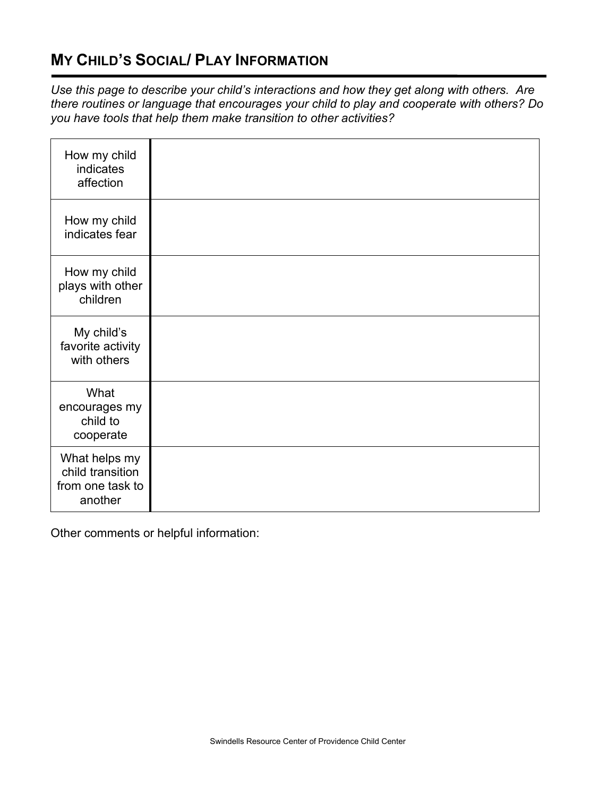## **MY CHILD'S SOCIAL/ PLAY INFORMATION**

*Use this page to describe your child's interactions and how they get along with others. Are there routines or language that encourages your child to play and cooperate with others? Do you have tools that help them make transition to other activities?*

| How my child<br>indicates<br>affection                           |  |
|------------------------------------------------------------------|--|
| How my child<br>indicates fear                                   |  |
| How my child<br>plays with other<br>children                     |  |
| My child's<br>favorite activity<br>with others                   |  |
| What<br>encourages my<br>child to<br>cooperate                   |  |
| What helps my<br>child transition<br>from one task to<br>another |  |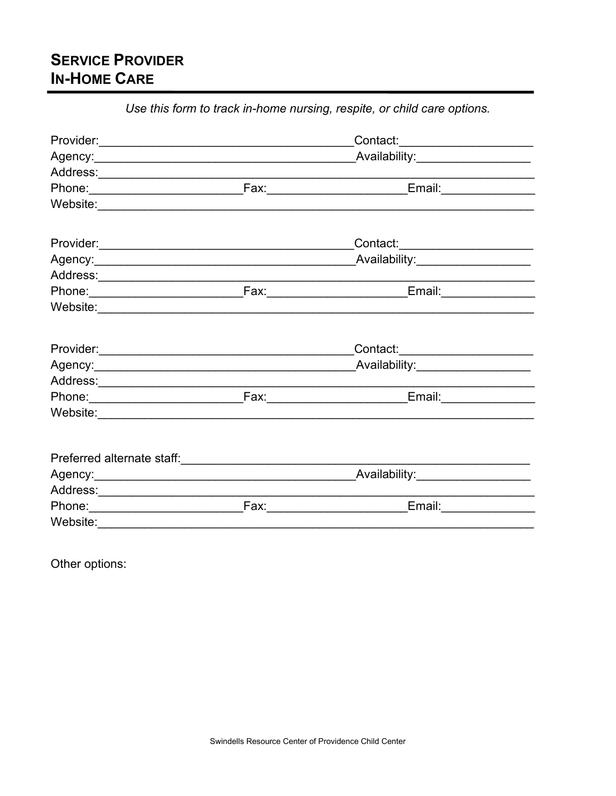# **SERVICE PROVIDER IN-HOME CARE**

|  | Ose mis form to track in-nome marsing, respite, or cring care options. |  |
|--|------------------------------------------------------------------------|--|
|  | Contact:______________________                                         |  |
|  |                                                                        |  |
|  |                                                                        |  |
|  |                                                                        |  |
|  |                                                                        |  |
|  |                                                                        |  |
|  |                                                                        |  |
|  |                                                                        |  |
|  |                                                                        |  |
|  |                                                                        |  |
|  | Contact:________________________                                       |  |
|  |                                                                        |  |
|  |                                                                        |  |
|  |                                                                        |  |
|  |                                                                        |  |
|  |                                                                        |  |
|  |                                                                        |  |
|  |                                                                        |  |
|  |                                                                        |  |
|  |                                                                        |  |
|  | _Fax:____________________________<br>Email:________________            |  |

Use this form to track in-home nursing respite or child care ontions

Other options: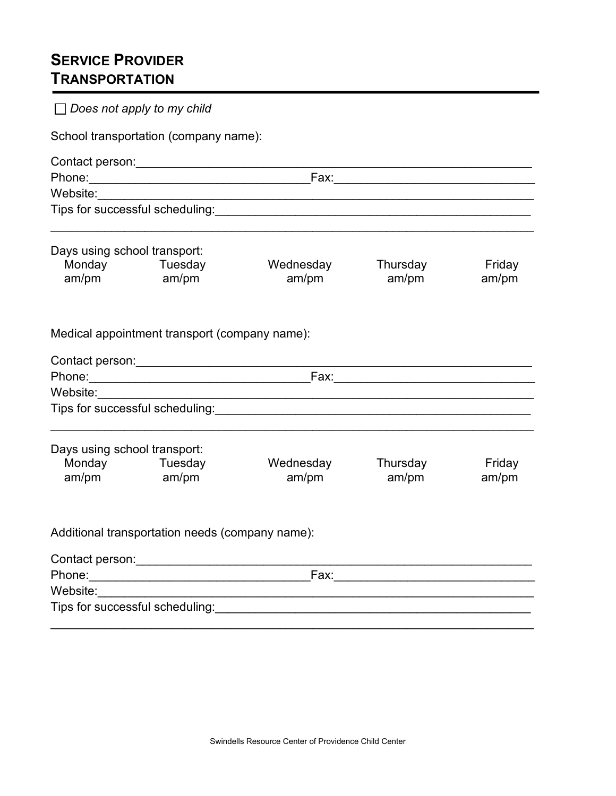# **SERVICE PROVIDER TRANSPORTATION**

|                              | School transportation (company name):            |                                                                                                                                                                                                                                |                   |                 |
|------------------------------|--------------------------------------------------|--------------------------------------------------------------------------------------------------------------------------------------------------------------------------------------------------------------------------------|-------------------|-----------------|
|                              | Contact person: ________________________________ |                                                                                                                                                                                                                                |                   |                 |
|                              |                                                  |                                                                                                                                                                                                                                |                   |                 |
| Website:                     |                                                  |                                                                                                                                                                                                                                |                   |                 |
|                              |                                                  | Tips for successful scheduling: Manual According of the Senate According of the Senate According of the Senate According of the Senate According of the Senate According of the Senate According of the Senate According of th |                   |                 |
| Days using school transport: |                                                  |                                                                                                                                                                                                                                |                   |                 |
| am/pm am/pm                  | Monday Tuesday                                   | Wednesday<br>am/pm                                                                                                                                                                                                             | Thursday<br>am/pm | Friday<br>am/pm |
|                              | Medical appointment transport (company name):    |                                                                                                                                                                                                                                |                   |                 |
|                              |                                                  |                                                                                                                                                                                                                                |                   |                 |
|                              |                                                  |                                                                                                                                                                                                                                |                   |                 |
|                              |                                                  |                                                                                                                                                                                                                                |                   |                 |
|                              |                                                  |                                                                                                                                                                                                                                |                   |                 |
|                              |                                                  | Tips for successful scheduling: Management and the state of the state of the state of the state of the state o                                                                                                                 |                   |                 |
| Days using school transport: |                                                  |                                                                                                                                                                                                                                |                   |                 |
| am/pm am/pm                  | Monday Tuesday                                   | Wednesday<br>am/pm                                                                                                                                                                                                             | Thursday<br>am/pm | Friday<br>am/pm |
|                              | Additional transportation needs (company name):  |                                                                                                                                                                                                                                |                   |                 |
|                              |                                                  |                                                                                                                                                                                                                                |                   |                 |
|                              | Contact person: ______________________           | Fax: $\frac{1}{2}$                                                                                                                                                                                                             |                   |                 |
|                              |                                                  |                                                                                                                                                                                                                                |                   |                 |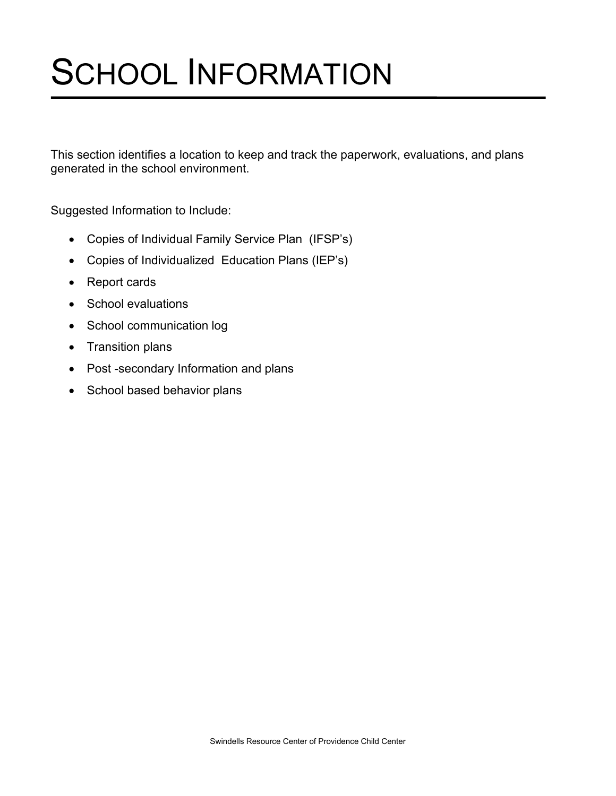# SCHOOL INFORMATION

This section identifies a location to keep and track the paperwork, evaluations, and plans generated in the school environment.

Suggested Information to Include:

- Copies of Individual Family Service Plan (IFSP's)
- Copies of Individualized Education Plans (IEP's)
- Report cards
- School evaluations
- School communication log
- Transition plans
- Post -secondary Information and plans
- School based behavior plans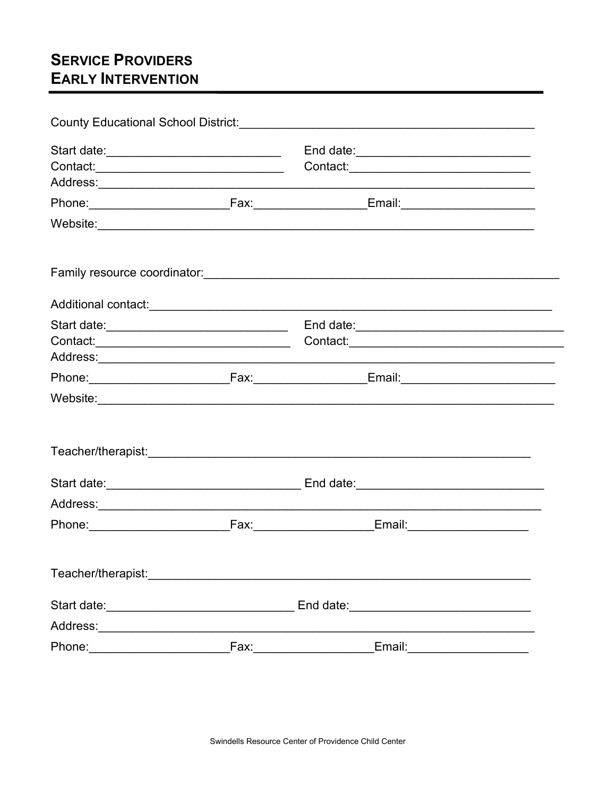# **SERVICE PROVIDERS EARLY INTERVENTION**

| County Educational School District: [1994] [2010] County Educational School District: |  |                              |
|---------------------------------------------------------------------------------------|--|------------------------------|
|                                                                                       |  |                              |
|                                                                                       |  |                              |
|                                                                                       |  |                              |
|                                                                                       |  |                              |
|                                                                                       |  |                              |
|                                                                                       |  |                              |
|                                                                                       |  |                              |
|                                                                                       |  |                              |
|                                                                                       |  |                              |
|                                                                                       |  |                              |
|                                                                                       |  |                              |
|                                                                                       |  |                              |
|                                                                                       |  |                              |
|                                                                                       |  |                              |
|                                                                                       |  |                              |
|                                                                                       |  |                              |
|                                                                                       |  |                              |
|                                                                                       |  |                              |
|                                                                                       |  |                              |
|                                                                                       |  | Email:______________________ |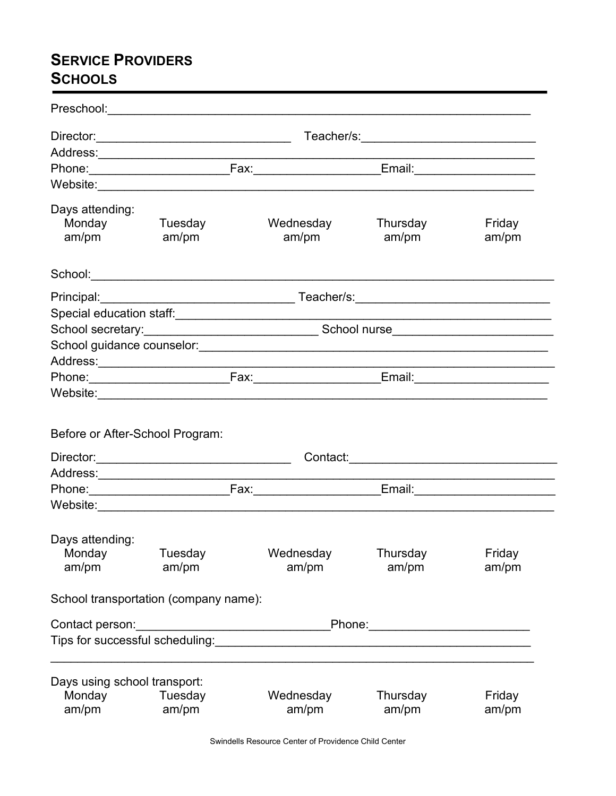# **SERVICE PROVIDERS SCHOOLS**

|                                                 | Website: Website:                     |                                                                                               |                   |                 |
|-------------------------------------------------|---------------------------------------|-----------------------------------------------------------------------------------------------|-------------------|-----------------|
| Days attending:<br>Monday<br>am/pm              | Tuesday<br>am/pm                      | Wednesday<br>am/pm                                                                            | Thursday<br>am/pm | Friday<br>am/pm |
|                                                 |                                       |                                                                                               |                   |                 |
|                                                 |                                       |                                                                                               |                   |                 |
|                                                 |                                       | Special education staff: www.communication.com/www.communications.com/www.com/www.com/www.com |                   |                 |
|                                                 |                                       |                                                                                               |                   |                 |
|                                                 |                                       |                                                                                               |                   |                 |
|                                                 |                                       |                                                                                               |                   |                 |
|                                                 |                                       |                                                                                               |                   |                 |
|                                                 |                                       |                                                                                               |                   |                 |
| Before or After-School Program:                 |                                       |                                                                                               |                   |                 |
|                                                 |                                       |                                                                                               |                   |                 |
|                                                 |                                       |                                                                                               |                   |                 |
| Days attending:<br>Monday<br>am/pm              | Tuesday<br>am/pm                      | Wednesday<br>am/pm                                                                            | Thursday<br>am/pm | Friday<br>am/pm |
|                                                 | School transportation (company name): |                                                                                               |                   |                 |
| Contact person:                                 |                                       |                                                                                               |                   |                 |
|                                                 |                                       |                                                                                               |                   |                 |
| Days using school transport:<br>Monday<br>am/pm | Tuesday<br>am/pm                      | Wednesday<br>am/pm                                                                            | Thursday<br>am/pm | Friday<br>am/pm |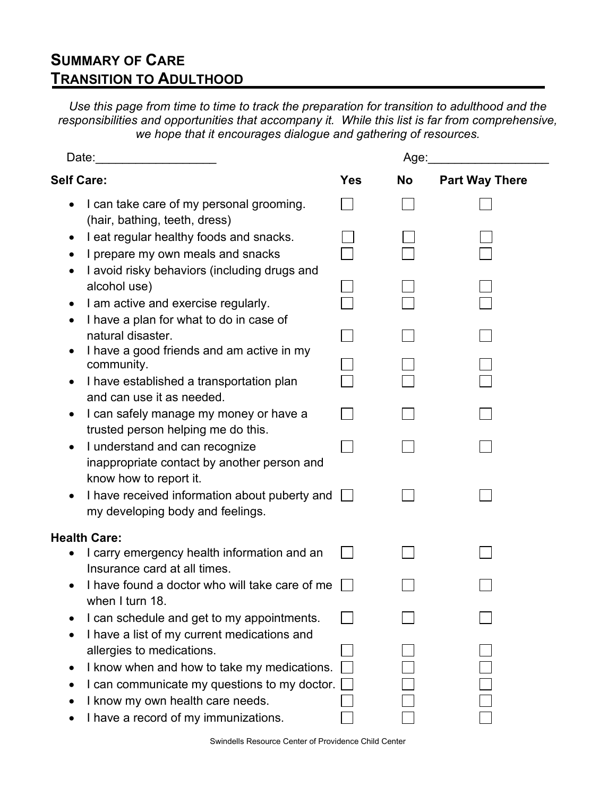## **SUMMARY OF CARE TRANSITION TO ADULTHOOD**

*Use this page from time to time to track the preparation for transition to adulthood and the responsibilities and opportunities that accompany it. While this list is far from comprehensive, we hope that it encourages dialogue and gathering of resources.*

|                                                                                  |            | Age:      |                       |
|----------------------------------------------------------------------------------|------------|-----------|-----------------------|
| <b>Self Care:</b>                                                                | <b>Yes</b> | <b>No</b> | <b>Part Way There</b> |
| I can take care of my personal grooming.<br>(hair, bathing, teeth, dress)        |            |           |                       |
| I eat regular healthy foods and snacks.                                          |            |           |                       |
| I prepare my own meals and snacks                                                |            |           |                       |
| I avoid risky behaviors (including drugs and<br>alcohol use)                     |            |           |                       |
| I am active and exercise regularly.                                              |            |           |                       |
| I have a plan for what to do in case of                                          |            |           |                       |
| natural disaster.                                                                |            |           |                       |
| I have a good friends and am active in my<br>community.                          |            |           |                       |
| I have established a transportation plan                                         |            |           |                       |
| and can use it as needed.                                                        |            |           |                       |
| I can safely manage my money or have a                                           |            |           |                       |
| trusted person helping me do this.<br>I understand and can recognize             |            |           |                       |
| inappropriate contact by another person and<br>know how to report it.            |            |           |                       |
| I have received information about puberty and                                    |            |           |                       |
| my developing body and feelings.                                                 |            |           |                       |
| <b>Health Care:</b>                                                              |            |           |                       |
| I carry emergency health information and an                                      |            |           |                       |
| Insurance card at all times.<br>I have found a doctor who will take care of me   |            |           |                       |
| when I turn 18.                                                                  |            |           |                       |
| I can schedule and get to my appointments.                                       |            |           |                       |
| I have a list of my current medications and                                      |            |           |                       |
| allergies to medications.                                                        |            |           |                       |
| I know when and how to take my medications.                                      |            |           |                       |
| I can communicate my questions to my doctor.<br>I know my own health care needs. |            |           |                       |
| I have a record of my immunizations.                                             |            |           |                       |
|                                                                                  |            |           |                       |

Swindells Resource Center of Providence Child Center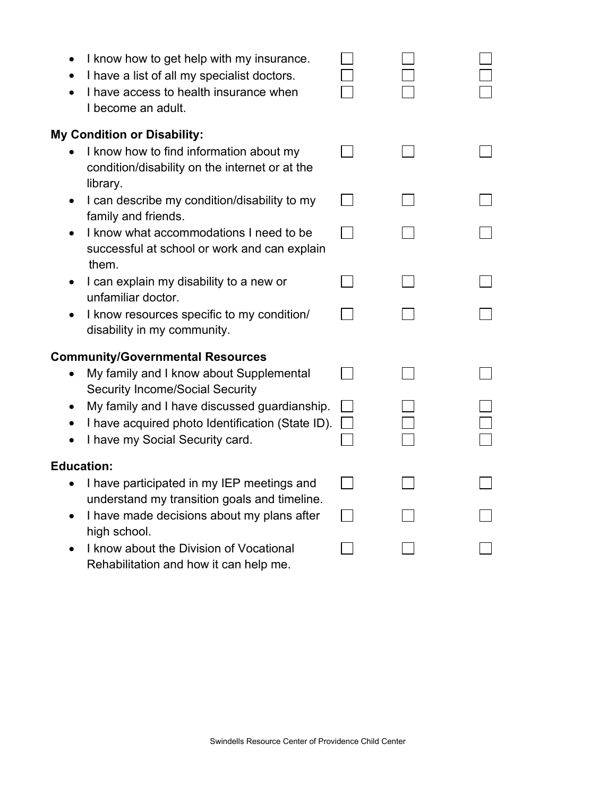| $\bullet$         | I know how to get help with my insurance.<br>I have a list of all my specialist doctors.<br>I have access to health insurance when<br>I become an adult. |  |  |
|-------------------|----------------------------------------------------------------------------------------------------------------------------------------------------------|--|--|
|                   | <b>My Condition or Disability:</b>                                                                                                                       |  |  |
|                   | I know how to find information about my<br>condition/disability on the internet or at the<br>library.                                                    |  |  |
| $\bullet$         | I can describe my condition/disability to my<br>family and friends.                                                                                      |  |  |
|                   | I know what accommodations I need to be<br>successful at school or work and can explain<br>them.                                                         |  |  |
| $\bullet$         | I can explain my disability to a new or<br>unfamiliar doctor.                                                                                            |  |  |
|                   | I know resources specific to my condition/<br>disability in my community.                                                                                |  |  |
|                   | <b>Community/Governmental Resources</b>                                                                                                                  |  |  |
|                   | My family and I know about Supplemental<br><b>Security Income/Social Security</b>                                                                        |  |  |
|                   | My family and I have discussed guardianship.                                                                                                             |  |  |
|                   | I have acquired photo Identification (State ID).<br>I have my Social Security card.                                                                      |  |  |
| <b>Education:</b> |                                                                                                                                                          |  |  |
|                   | I have participated in my IEP meetings and<br>understand my transition goals and timeline.                                                               |  |  |
|                   | I have made decisions about my plans after<br>high school.                                                                                               |  |  |
|                   | I know about the Division of Vocational<br>Rehabilitation and how it can help me.                                                                        |  |  |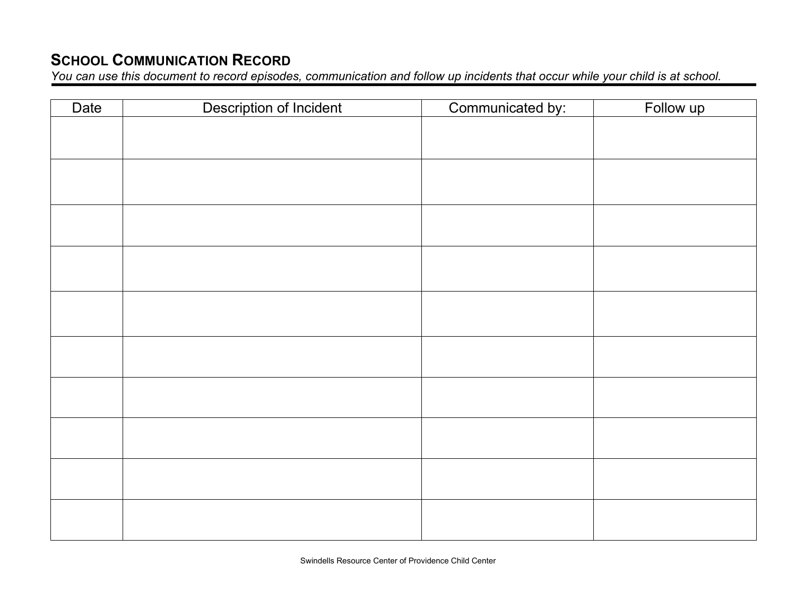## **SCHOOL COMMUNICATION RECORD**

*You can use this document to record episodes, communication and follow up incidents that occur while your child is at school.*

| Date | Description of Incident | Communicated by: | Follow up |
|------|-------------------------|------------------|-----------|
|      |                         |                  |           |
|      |                         |                  |           |
|      |                         |                  |           |
|      |                         |                  |           |
|      |                         |                  |           |
|      |                         |                  |           |
|      |                         |                  |           |
|      |                         |                  |           |
|      |                         |                  |           |
|      |                         |                  |           |
|      |                         |                  |           |
|      |                         |                  |           |
|      |                         |                  |           |
|      |                         |                  |           |
|      |                         |                  |           |
|      |                         |                  |           |
|      |                         |                  |           |
|      |                         |                  |           |
|      |                         |                  |           |
|      |                         |                  |           |